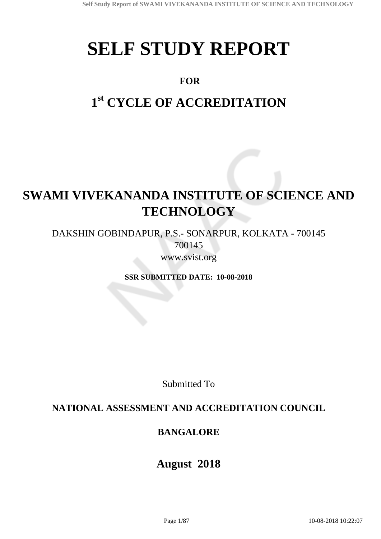# **SELF STUDY REPORT**

# **FOR**

# **1 st CYCLE OF ACCREDITATION**

# **SWAMI VIVEKANANDA INSTITUTE OF SCIENCE AND TECHNOLOGY**

DAKSHIN GOBINDAPUR, P.S.- SONARPUR, KOLKATA - 700145 700145 www.svist.org

**SSR SUBMITTED DATE: 10-08-2018**

Submitted To

# **NATIONAL ASSESSMENT AND ACCREDITATION COUNCIL**

# **BANGALORE**

# **August 2018**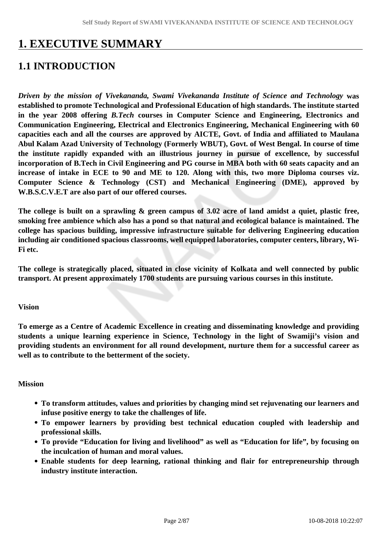# **1. EXECUTIVE SUMMARY**

# **1.1 INTRODUCTION**

*Driven by the mission of Vivekananda, Swami Vivekananda Institute of Science and Technology* **was established to promote Technological and Professional Education of high standards. The institute started in the year 2008 offering** *B.Tech* **courses in Computer Science and Engineering, Electronics and Communication Engineering, Electrical and Electronics Engineering, Mechanical Engineering with 60 capacities each and all the courses are approved by AICTE, Govt. of India and affiliated to Maulana Abul Kalam Azad University of Technology (Formerly WBUT), Govt. of West Bengal. In course of time the institute rapidly expanded with an illustrious journey in pursue of excellence, by successful incorporation of B.Tech in Civil Engineering and PG course in MBA both with 60 seats capacity and an increase of intake in ECE to 90 and ME to 120. Along with this, two more Diploma courses viz. Computer Science & Technology (CST) and Mechanical Engineering (DME), approved by W.B.S.C.V.E.T are also part of our offered courses.** 

**The college is built on a sprawling & green campus of 3.02 acre of land amidst a quiet, plastic free, smoking free ambience which also has a pond so that natural and ecological balance is maintained. The college has spacious building, impressive infrastructure suitable for delivering Engineering education including air conditioned spacious classrooms, well equipped laboratories, computer centers, library, Wi-Fi etc.** 

**The college is strategically placed, situated in close vicinity of Kolkata and well connected by public transport. At present approximately 1700 students are pursuing various courses in this institute.**

#### **Vision**

**To emerge as a Centre of Academic Excellence in creating and disseminating knowledge and providing students a unique learning experience in Science, Technology in the light of Swamiji's vision and providing students an environment for all round development, nurture them for a successful career as well as to contribute to the betterment of the society.**

#### **Mission**

- **To transform attitudes, values and priorities by changing mind set rejuvenating our learners and infuse positive energy to take the challenges of life.**
- **To empower learners by providing best technical education coupled with leadership and professional skills.**
- **To provide "Education for living and livelihood" as well as "Education for life", by focusing on the inculcation of human and moral values.**
- **Enable students for deep learning, rational thinking and flair for entrepreneurship through industry institute interaction.**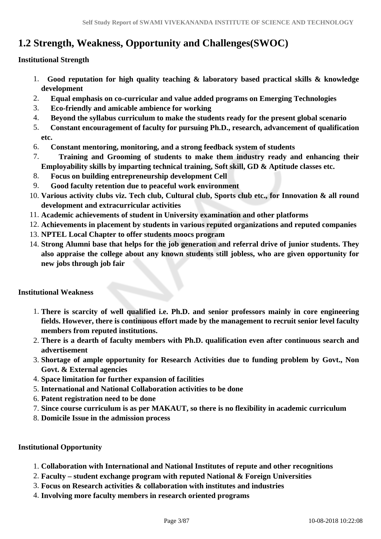# **1.2 Strength, Weakness, Opportunity and Challenges(SWOC)**

#### **Institutional Strength**

- 1. **Good reputation for high quality teaching & laboratory based practical skills & knowledge development**
- 2. **Equal emphasis on co-curricular and value added programs on Emerging Technologies**
- 3. **Eco-friendly and amicable ambience for working**
- 4. **Beyond the syllabus curriculum to make the students ready for the present global scenario**
- 5. **Constant encouragement of faculty for pursuing Ph.D., research, advancement of qualification etc.**
- 6. **Constant mentoring, monitoring, and a strong feedback system of students**
- 7. **Training and Grooming of students to make them industry ready and enhancing their Employability skills by imparting technical training, Soft skill, GD & Aptitude classes etc.**
- 8. **Focus on building entrepreneurship development Cell**
- 9. **Good faculty retention due to peaceful work environment**
- 10. **Various activity clubs viz. Tech club, Cultural club, Sports club etc., for Innovation & all round development and extracurricular activities**
- 11. **Academic achievements of student in University examination and other platforms**
- 12. **Achievements in placement by students in various reputed organizations and reputed companies**
- 13. **NPTEL Local Chapter to offer students moocs program**
- 14. **Strong Alumni base that helps for the job generation and referral drive of junior students. They also appraise the college about any known students still jobless, who are given opportunity for new jobs through job fair**

#### **Institutional Weakness**

- 1. **There is scarcity of well qualified i.e. Ph.D. and senior professors mainly in core engineering fields. However, there is continuous effort made by the management to recruit senior level faculty members from reputed institutions.**
- 2. **There is a dearth of faculty members with Ph.D. qualification even after continuous search and advertisement**
- 3. **Shortage of ample opportunity for Research Activities due to funding problem by Govt., Non Govt. & External agencies**
- 4. **Space limitation for further expansion of facilities**
- 5. **International and National Collaboration activities to be done**
- 6. **Patent registration need to be done**
- 7. **Since course curriculum is as per MAKAUT, so there is no flexibility in academic curriculum**
- 8. **Domicile Issue in the admission process**

#### **Institutional Opportunity**

- 1. **Collaboration with International and National Institutes of repute and other recognitions**
- 2. **Faculty student exchange program with reputed National & Foreign Universities**
- 3. **Focus on Research activities & collaboration with institutes and industries**
- 4. **Involving more faculty members in research oriented programs**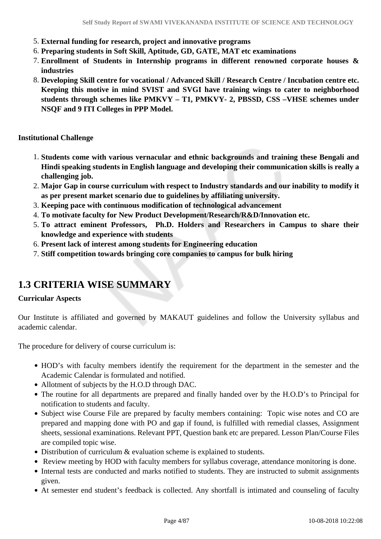- 5. **External funding for research, project and innovative programs**
- 6. **Preparing students in Soft Skill, Aptitude, GD, GATE, MAT etc examinations**
- 7. **Enrollment of Students in Internship programs in different renowned corporate houses & industries**
- 8. **Developing Skill centre for vocational / Advanced Skill / Research Centre / Incubation centre etc. Keeping this motive in mind SVIST and SVGI have training wings to cater to neighborhood students through schemes like PMKVY – T1, PMKVY- 2, PBSSD, CSS –VHSE schemes under NSQF and 9 ITI Colleges in PPP Model.**

#### **Institutional Challenge**

- 1. **Students come with various vernacular and ethnic backgrounds and training these Bengali and Hindi speaking students in English language and developing their communication skills is really a challenging job.**
- 2. **Major Gap in course curriculum with respect to Industry standards and our inability to modify it as per present market scenario due to guidelines by affiliating university.**
- 3. **Keeping pace with continuous modification of technological advancement**
- 4. **To motivate faculty for New Product Development/Research/R&D/Innovation etc.**
- 5. **To attract eminent Professors, Ph.D. Holders and Researchers in Campus to share their knowledge and experience with students**
- 6. **Present lack of interest among students for Engineering education**
- 7. **Stiff competition towards bringing core companies to campus for bulk hiring**

### **1.3 CRITERIA WISE SUMMARY**

#### **Curricular Aspects**

Our Institute is affiliated and governed by MAKAUT guidelines and follow the University syllabus and academic calendar.

The procedure for delivery of course curriculum is:

- HOD's with faculty members identify the requirement for the department in the semester and the Academic Calendar is formulated and notified.
- Allotment of subjects by the H.O.D through DAC.
- The routine for all departments are prepared and finally handed over by the H.O.D's to Principal for notification to students and faculty.
- Subject wise Course File are prepared by faculty members containing: Topic wise notes and CO are prepared and mapping done with PO and gap if found, is fulfilled with remedial classes, Assignment sheets, sessional examinations. Relevant PPT, Question bank etc are prepared. Lesson Plan/Course Files are compiled topic wise.
- Distribution of curriculum & evaluation scheme is explained to students.
- Review meeting by HOD with faculty members for syllabus coverage, attendance monitoring is done.
- Internal tests are conducted and marks notified to students. They are instructed to submit assignments given.
- At semester end student's feedback is collected. Any shortfall is intimated and counseling of faculty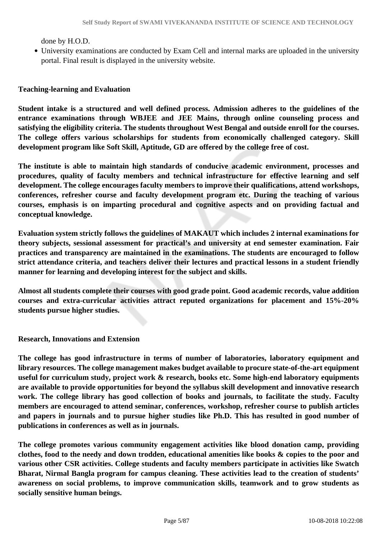done by H.O.D.

University examinations are conducted by Exam Cell and internal marks are uploaded in the university portal. Final result is displayed in the university website.

#### **Teaching-learning and Evaluation**

**Student intake is a structured and well defined process. Admission adheres to the guidelines of the entrance examinations through WBJEE and JEE Mains, through online counseling process and satisfying the eligibility criteria. The students throughout West Bengal and outside enroll for the courses. The college offers various scholarships for students from economically challenged category. Skill development program like Soft Skill, Aptitude, GD are offered by the college free of cost.**

**The institute is able to maintain high standards of conducive academic environment, processes and procedures, quality of faculty members and technical infrastructure for effective learning and self development. The college encourages faculty members to improve their qualifications, attend workshops, conferences, refresher course and faculty development program etc. During the teaching of various courses, emphasis is on imparting procedural and cognitive aspects and on providing factual and conceptual knowledge.**

**Evaluation system strictly follows the guidelines of MAKAUT which includes 2 internal examinations for theory subjects, sessional assessment for practical's and university at end semester examination. Fair practices and transparency are maintained in the examinations. The students are encouraged to follow strict attendance criteria, and teachers deliver their lectures and practical lessons in a student friendly manner for learning and developing interest for the subject and skills.**

**Almost all students complete their courses with good grade point. Good academic records, value addition courses and extra-curricular activities attract reputed organizations for placement and 15%-20% students pursue higher studies.**

#### **Research, Innovations and Extension**

**The college has good infrastructure in terms of number of laboratories, laboratory equipment and library resources. The college management makes budget available to procure state-of-the-art equipment useful for curriculum study, project work & research, books etc. Some high-end laboratory equipments are available to provide opportunities for beyond the syllabus skill development and innovative research work. The college library has good collection of books and journals, to facilitate the study. Faculty members are encouraged to attend seminar, conferences, workshop, refresher course to publish articles and papers in journals and to pursue higher studies like Ph.D. This has resulted in good number of publications in conferences as well as in journals.** 

**The college promotes various community engagement activities like blood donation camp, providing clothes, food to the needy and down trodden, educational amenities like books & copies to the poor and various other CSR activities. College students and faculty members participate in activities like Swatch Bharat, Nirmal Bangla program for campus cleaning. These activities lead to the creation of students' awareness on social problems, to improve communication skills, teamwork and to grow students as socially sensitive human beings.**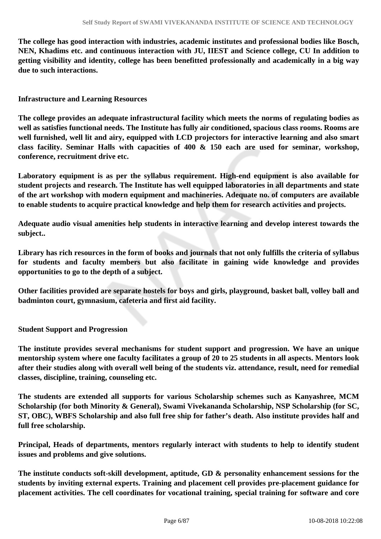**The college has good interaction with industries, academic institutes and professional bodies like Bosch, NEN, Khadims etc. and continuous interaction with JU, IIEST and Science college, CU In addition to getting visibility and identity, college has been benefitted professionally and academically in a big way due to such interactions.**

**Infrastructure and Learning Resources** 

**The college provides an adequate infrastructural facility which meets the norms of regulating bodies as well as satisfies functional needs. The Institute has fully air conditioned, spacious class rooms. Rooms are well furnished, well lit and airy, equipped with LCD projectors for interactive learning and also smart class facility. Seminar Halls with capacities of 400 & 150 each are used for seminar, workshop, conference, recruitment drive etc.** 

**Laboratory equipment is as per the syllabus requirement. High-end equipment is also available for student projects and research. The Institute has well equipped laboratories in all departments and state of the art workshop with modern equipment and machineries. Adequate no. of computers are available to enable students to acquire practical knowledge and help them for research activities and projects.**

**Adequate audio visual amenities help students in interactive learning and develop interest towards the subject..** 

**Library has rich resources in the form of books and journals that not only fulfills the criteria of syllabus for students and faculty members but also facilitate in gaining wide knowledge and provides opportunities to go to the depth of a subject.** 

**Other facilities provided are separate hostels for boys and girls, playground, basket ball, volley ball and badminton court, gymnasium, cafeteria and first aid facility.**

**Student Support and Progression** 

**The institute provides several mechanisms for student support and progression. We have an unique mentorship system where one faculty facilitates a group of 20 to 25 students in all aspects. Mentors look after their studies along with overall well being of the students viz. attendance, result, need for remedial classes, discipline, training, counseling etc.** 

**The students are extended all supports for various Scholarship schemes such as Kanyashree, MCM Scholarship (for both Minority & General), Swami Vivekananda Scholarship, NSP Scholarship (for SC, ST, OBC), WBFS Scholarship and also full free ship for father's death. Also institute provides half and full free scholarship.** 

**Principal, Heads of departments, mentors regularly interact with students to help to identify student issues and problems and give solutions.** 

**The institute conducts soft-skill development, aptitude, GD & personality enhancement sessions for the students by inviting external experts. Training and placement cell provides pre-placement guidance for placement activities. The cell coordinates for vocational training, special training for software and core**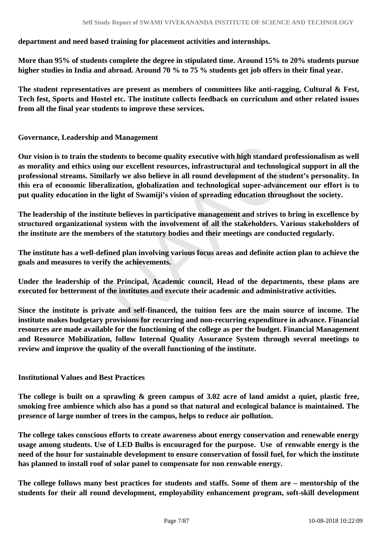#### **department and need based training for placement activities and internships.**

**More than 95% of students complete the degree in stipulated time. Around 15% to 20% students pursue higher studies in India and abroad. Around 70 % to 75 % students get job offers in their final year.**

**The student representatives are present as members of committees like anti-ragging, Cultural & Fest, Tech fest, Sports and Hostel etc. The institute collects feedback on curriculum and other related issues from all the final year students to improve these services.**

#### **Governance, Leadership and Management**

**Our vision is to train the students to become quality executive with high standard professionalism as well as morality and ethics using our excellent resources, infrastructural and technological support in all the professional streams. Similarly we also believe in all round development of the student's personality. In this era of economic liberalization, globalization and technological super-advancement our effort is to put quality education in the light of Swamiji's vision of spreading education throughout the society.**

**The leadership of the institute believes in participative management and strives to bring in excellence by structured organizational system with the involvement of all the stakeholders. Various stakeholders of the institute are the members of the statutory bodies and their meetings are conducted regularly.**

**The institute has a well-defined plan involving various focus areas and definite action plan to achieve the goals and measures to verify the achievements.**

**Under the leadership of the Principal, Academic council, Head of the departments, these plans are executed for betterment of the institutes and execute their academic and administrative activities.**

**Since the institute is private and self-financed, the tuition fees are the main source of income. The institute makes budgetary provisions for recurring and non-recurring expenditure in advance. Financial resources are made available for the functioning of the college as per the budget. Financial Management and Resource Mobilization, follow Internal Quality Assurance System through several meetings to review and improve the quality of the overall functioning of the institute.**

#### **Institutional Values and Best Practices**

**The college is built on a sprawling & green campus of 3.02 acre of land amidst a quiet, plastic free, smoking free ambience which also has a pond so that natural and ecological balance is maintained. The presence of large number of trees in the campus, helps to reduce air pollution.** 

**The college takes conscious efforts to create awareness about energy conservation and renewable energy usage among students. Use of LED Bulbs is encouraged for the purpose. Use of renwable energy is the need of the hour for sustainable development to ensure conservation of fossil fuel, for which the institute has planned to install roof of solar panel to compensate for non renwable energy.** 

**The college follows many best practices for students and staffs. Some of them are – mentorship of the students for their all round development, employability enhancement program, soft-skill development**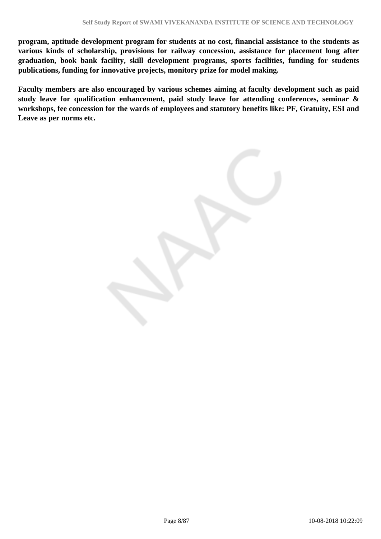**program, aptitude development program for students at no cost, financial assistance to the students as various kinds of scholarship, provisions for railway concession, assistance for placement long after graduation, book bank facility, skill development programs, sports facilities, funding for students publications, funding for innovative projects, monitory prize for model making.** 

**Faculty members are also encouraged by various schemes aiming at faculty development such as paid study leave for qualification enhancement, paid study leave for attending conferences, seminar & workshops, fee concession for the wards of employees and statutory benefits like: PF, Gratuity, ESI and Leave as per norms etc.**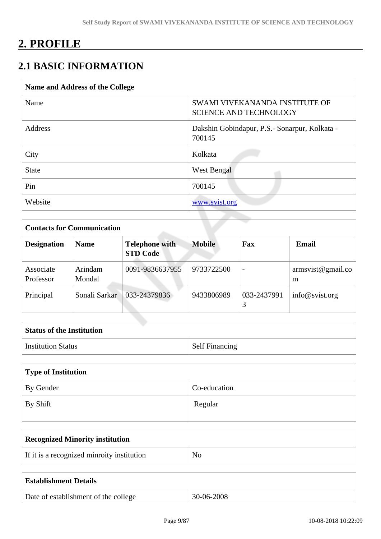# **2. PROFILE**

# **2.1 BASIC INFORMATION**

| Name and Address of the College |                                                                 |
|---------------------------------|-----------------------------------------------------------------|
| Name                            | SWAMI VIVEKANANDA INSTITUTE OF<br><b>SCIENCE AND TECHNOLOGY</b> |
| Address                         | Dakshin Gobindapur, P.S.- Sonarpur, Kolkata -<br>700145         |
| City                            | Kolkata                                                         |
| <b>State</b>                    | West Bengal                                                     |
| Pin                             | 700145                                                          |
| Website                         | www.svist.org                                                   |
|                                 |                                                                 |

| <b>Contacts for Communication</b> |                   |                                          |               |                          |                                 |
|-----------------------------------|-------------------|------------------------------------------|---------------|--------------------------|---------------------------------|
| <b>Designation</b>                | <b>Name</b>       | <b>Telephone with</b><br><b>STD Code</b> | <b>Mobile</b> | Fax                      | <b>Email</b>                    |
| Associate<br>Professor            | Arindam<br>Mondal | 0091-9836637955                          | 9733722500    | $\overline{\phantom{0}}$ | $\text{armsvist@gmail.co}$<br>m |
| Principal                         | Sonali Sarkar     | 033-24379836                             | 9433806989    | 033-2437991              | info@svist.org                  |

| <b>Status of the Institution</b> |                       |
|----------------------------------|-----------------------|
| <b>Institution Status</b>        | <b>Self Financing</b> |

| Type of Institution |              |  |
|---------------------|--------------|--|
| By Gender           | Co-education |  |
| $\vert$ By Shift    | Regular      |  |

| <b>Recognized Minority institution</b>     |    |
|--------------------------------------------|----|
| If it is a recognized minroity institution | No |
|                                            |    |

| <b>Establishment Details</b>         |            |
|--------------------------------------|------------|
| Date of establishment of the college | 30-06-2008 |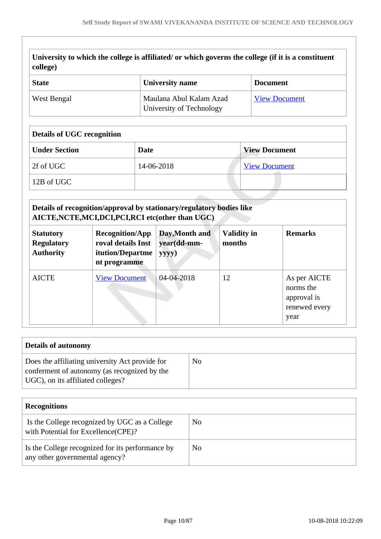| University to which the college is affiliated/ or which governs the college (if it is a constituent<br>college) |                                                     |                      |  |
|-----------------------------------------------------------------------------------------------------------------|-----------------------------------------------------|----------------------|--|
| <b>State</b>                                                                                                    | University name                                     | <b>Document</b>      |  |
| West Bengal                                                                                                     | Maulana Abul Kalam Azad<br>University of Technology | <b>View Document</b> |  |

#### **Details of UGC recognition**

| <b>Under Section</b> | Date       | <b>View Document</b> |
|----------------------|------------|----------------------|
| 2f of UGC            | 14-06-2018 | <b>View Document</b> |
| $12B$ of UGC         |            |                      |

| Details of recognition/approval by stationary/regulatory bodies like<br>AICTE, NCTE, MCI, DCI, PCI, RCI etc(other than UGC) |                                                                                  |                                        |                              |                                                                   |
|-----------------------------------------------------------------------------------------------------------------------------|----------------------------------------------------------------------------------|----------------------------------------|------------------------------|-------------------------------------------------------------------|
| <b>Statutory</b><br><b>Regulatory</b><br><b>Authority</b>                                                                   | <b>Recognition/App</b><br>roval details Inst<br>itution/Departme<br>nt programme | Day, Month and<br>year(dd-mm-<br>yyyy) | <b>Validity in</b><br>months | <b>Remarks</b>                                                    |
| <b>AICTE</b>                                                                                                                | <b>View Document</b>                                                             | 04-04-2018                             | 12                           | As per AICTE<br>norms the<br>approval is<br>renewed every<br>year |

| Details of autonomy                                                                                                                  |    |
|--------------------------------------------------------------------------------------------------------------------------------------|----|
| Does the affiliating university Act provide for<br>conferment of autonomy (as recognized by the<br>UGC), on its affiliated colleges? | No |

| <b>Recognitions</b>                                                                   |    |
|---------------------------------------------------------------------------------------|----|
| Is the College recognized by UGC as a College<br>with Potential for Excellence (CPE)? | No |
| Is the College recognized for its performance by<br>any other governmental agency?    | No |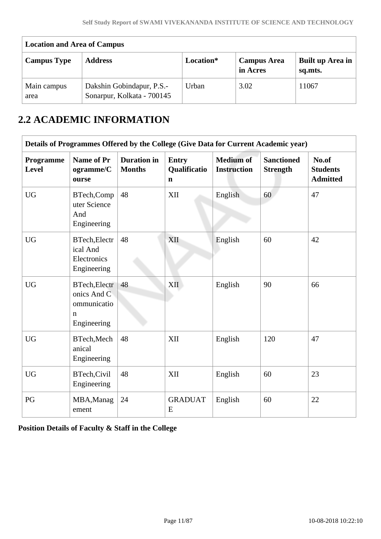| <b>Location and Area of Campus</b> |                                                         |           |                                |                             |
|------------------------------------|---------------------------------------------------------|-----------|--------------------------------|-----------------------------|
| <b>Campus Type</b>                 | <b>Address</b>                                          | Location* | <b>Campus Area</b><br>in Acres | Built up Area in<br>sq.mts. |
| Main campus<br>area                | Dakshin Gobindapur, P.S.-<br>Sonarpur, Kolkata - 700145 | Urban     | 3.02                           | 11067                       |

# **2.2 ACADEMIC INFORMATION**

|                           | Details of Programmes Offered by the College (Give Data for Current Academic year) |                                     |                                             |                                        |                                      |                                             |
|---------------------------|------------------------------------------------------------------------------------|-------------------------------------|---------------------------------------------|----------------------------------------|--------------------------------------|---------------------------------------------|
| Programme<br><b>Level</b> | <b>Name of Pr</b><br>ogramme/C<br>ourse                                            | <b>Duration</b> in<br><b>Months</b> | <b>Entry</b><br>Qualificatio<br>$\mathbf n$ | <b>Medium of</b><br><b>Instruction</b> | <b>Sanctioned</b><br><b>Strength</b> | No.of<br><b>Students</b><br><b>Admitted</b> |
| <b>UG</b>                 | BTech,Comp<br>uter Science<br>And<br>Engineering                                   | 48                                  | XII                                         | English                                | 60                                   | 47                                          |
| <b>UG</b>                 | BTech, Electr<br>ical And<br>Electronics<br>Engineering                            | 48                                  | XII                                         | English                                | 60                                   | 42                                          |
| <b>UG</b>                 | <b>BTech, Electr</b><br>onics And C<br>ommunicatio<br>$\mathbf n$<br>Engineering   | 48                                  | XII                                         | English                                | 90                                   | 66                                          |
| <b>UG</b>                 | BTech, Mech<br>anical<br>Engineering                                               | 48                                  | XII                                         | English                                | 120                                  | 47                                          |
| <b>UG</b>                 | BTech, Civil<br>Engineering                                                        | 48                                  | XII                                         | English                                | 60                                   | 23                                          |
| PG                        | MBA, Manag<br>ement                                                                | 24                                  | <b>GRADUAT</b><br>E                         | English                                | 60                                   | 22                                          |

**Position Details of Faculty & Staff in the College**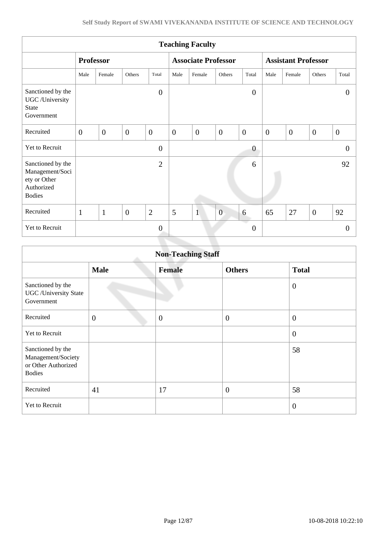|                                                                                     | <b>Teaching Faculty</b> |                  |                |                |                |                            |                |                  |                            |                |                |                  |
|-------------------------------------------------------------------------------------|-------------------------|------------------|----------------|----------------|----------------|----------------------------|----------------|------------------|----------------------------|----------------|----------------|------------------|
|                                                                                     |                         | <b>Professor</b> |                |                |                | <b>Associate Professor</b> |                |                  | <b>Assistant Professor</b> |                |                |                  |
|                                                                                     | Male                    | Female           | Others         | Total          | Male           | Female                     | Others         | Total            | Male                       | Female         | Others         | Total            |
| Sanctioned by the<br>UGC /University<br><b>State</b><br>Government                  |                         |                  |                | $\overline{0}$ |                |                            |                | $\boldsymbol{0}$ |                            |                |                | $\theta$         |
| Recruited                                                                           | $\overline{0}$          | $\overline{0}$   | $\mathbf{0}$   | $\mathbf{0}$   | $\overline{0}$ | $\mathbf{0}$               | $\overline{0}$ | $\overline{0}$   | $\overline{0}$             | $\overline{0}$ | $\overline{0}$ | $\boldsymbol{0}$ |
| Yet to Recruit                                                                      |                         |                  |                | $\overline{0}$ |                |                            |                | $\boldsymbol{0}$ |                            |                |                | $\theta$         |
| Sanctioned by the<br>Management/Soci<br>ety or Other<br>Authorized<br><b>Bodies</b> |                         |                  |                | $\overline{2}$ |                |                            |                | 6                |                            |                |                | 92               |
| Recruited                                                                           | $\mathbf{1}$            | $\mathbf{1}$     | $\overline{0}$ | $\overline{2}$ | 5              | $\mathbf{1}$               | $\overline{0}$ | 6                | 65                         | 27             | $\overline{0}$ | 92               |
| Yet to Recruit                                                                      |                         |                  |                | $\overline{0}$ |                |                            |                | $\overline{0}$   |                            |                |                | $\Omega$         |
|                                                                                     |                         |                  |                |                |                |                            |                |                  |                            |                |                |                  |

| <b>Non-Teaching Staff</b>                                                       |                |                |                  |                  |  |  |  |  |  |
|---------------------------------------------------------------------------------|----------------|----------------|------------------|------------------|--|--|--|--|--|
|                                                                                 | <b>Male</b>    | <b>Female</b>  | <b>Others</b>    | <b>Total</b>     |  |  |  |  |  |
| Sanctioned by the<br><b>UGC</b> / University State<br>Government                |                |                |                  | $\overline{0}$   |  |  |  |  |  |
| Recruited                                                                       | $\overline{0}$ | $\overline{0}$ | $\boldsymbol{0}$ | $\overline{0}$   |  |  |  |  |  |
| Yet to Recruit                                                                  |                |                |                  | $\boldsymbol{0}$ |  |  |  |  |  |
| Sanctioned by the<br>Management/Society<br>or Other Authorized<br><b>Bodies</b> |                |                |                  | 58               |  |  |  |  |  |
| Recruited                                                                       | 41             | 17             | $\boldsymbol{0}$ | 58               |  |  |  |  |  |
| Yet to Recruit                                                                  |                |                |                  | $\overline{0}$   |  |  |  |  |  |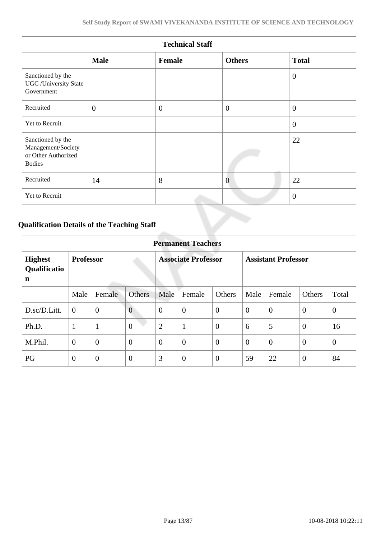| <b>Technical Staff</b>                                                          |              |              |                |                |  |  |  |  |  |
|---------------------------------------------------------------------------------|--------------|--------------|----------------|----------------|--|--|--|--|--|
|                                                                                 | <b>Male</b>  | Female       | <b>Others</b>  | <b>Total</b>   |  |  |  |  |  |
| Sanctioned by the<br><b>UGC</b> /University State<br>Government                 |              |              |                | $\overline{0}$ |  |  |  |  |  |
| Recruited                                                                       | $\mathbf{0}$ | $\mathbf{0}$ | $\overline{0}$ | $\overline{0}$ |  |  |  |  |  |
| Yet to Recruit                                                                  |              |              |                | $\overline{0}$ |  |  |  |  |  |
| Sanctioned by the<br>Management/Society<br>or Other Authorized<br><b>Bodies</b> |              |              |                | 22             |  |  |  |  |  |
| Recruited                                                                       | 14           | 8            | $\overline{0}$ | 22             |  |  |  |  |  |
| Yet to Recruit                                                                  |              |              |                | $\overline{0}$ |  |  |  |  |  |

# **Qualification Details of the Teaching Staff**

|                                     | <b>Permanent Teachers</b> |                  |                            |                |                |                            |          |                |                |                |  |
|-------------------------------------|---------------------------|------------------|----------------------------|----------------|----------------|----------------------------|----------|----------------|----------------|----------------|--|
| <b>Highest</b><br>Qualificatio<br>n | <b>Professor</b>          |                  | <b>Associate Professor</b> |                |                | <b>Assistant Professor</b> |          |                |                |                |  |
|                                     | Male                      | Female           | <b>Others</b>              | Male           | Female         | Others                     | Male     | Female         | <b>Others</b>  | Total          |  |
| D.sc/D.Litt.                        | $\overline{0}$            | $\boldsymbol{0}$ | $\overline{0}$             | $\overline{0}$ | $\overline{0}$ | $\overline{0}$             | $\theta$ | $\overline{0}$ | $\overline{0}$ | $\overline{0}$ |  |
| Ph.D.                               | $\mathbf{1}$              | $\mathbf{1}$     | $\overline{0}$             | $\overline{2}$ | $\mathbf{1}$   | $\overline{0}$             | 6        | 5              | $\overline{0}$ | 16             |  |
| M.Phil.                             | $\boldsymbol{0}$          | $\overline{0}$   | $\overline{0}$             | $\overline{0}$ | $\overline{0}$ | $\overline{0}$             | $\theta$ | $\overline{0}$ | $\overline{0}$ | $\overline{0}$ |  |
| PG                                  | $\theta$                  | $\overline{0}$   | $\theta$                   | 3              | $\overline{0}$ | $\overline{0}$             | 59       | 22             | $\overline{0}$ | 84             |  |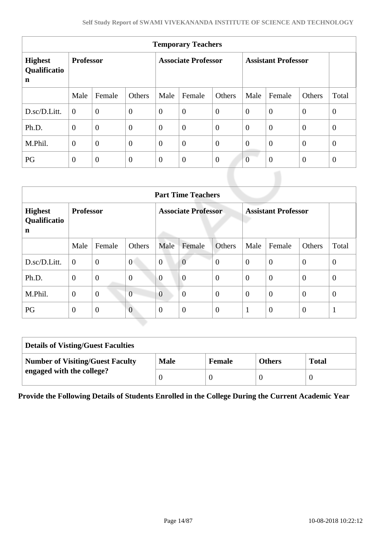| <b>Temporary Teachers</b>           |                  |                |                            |                |                  |                            |                |                |                |                |  |
|-------------------------------------|------------------|----------------|----------------------------|----------------|------------------|----------------------------|----------------|----------------|----------------|----------------|--|
| <b>Highest</b><br>Qualificatio<br>n | <b>Professor</b> |                | <b>Associate Professor</b> |                |                  | <b>Assistant Professor</b> |                |                |                |                |  |
|                                     | Male             | Female         | Others                     | Male           | Female           | Others                     | Male           | Female         | Others         | Total          |  |
| D.sc/D.Litt.                        | $\overline{0}$   | $\overline{0}$ | $\boldsymbol{0}$           | $\overline{0}$ | $\boldsymbol{0}$ | $\overline{0}$             | $\overline{0}$ | $\overline{0}$ | $\overline{0}$ | $\overline{0}$ |  |
| Ph.D.                               | $\theta$         | $\overline{0}$ | $\overline{0}$             | $\overline{0}$ | $\overline{0}$   | $\overline{0}$             | $\theta$       | $\overline{0}$ | $\overline{0}$ | $\overline{0}$ |  |
| M.Phil.                             | $\overline{0}$   | $\overline{0}$ | $\overline{0}$             | $\theta$       | $\overline{0}$   | $\overline{0}$             | $\overline{0}$ | $\overline{0}$ | $\overline{0}$ | $\overline{0}$ |  |
| PG                                  | $\overline{0}$   | $\overline{0}$ | $\overline{0}$             | $\overline{0}$ | $\overline{0}$   | $\theta$                   | $\overline{0}$ | $\overline{0}$ | $\theta$       | $\overline{0}$ |  |

|                                     | <b>Part Time Teachers</b> |                |                  |                            |                |                  |                            |                |                |              |  |
|-------------------------------------|---------------------------|----------------|------------------|----------------------------|----------------|------------------|----------------------------|----------------|----------------|--------------|--|
| <b>Highest</b><br>Qualificatio<br>n | <b>Professor</b>          |                |                  | <b>Associate Professor</b> |                |                  | <b>Assistant Professor</b> |                |                |              |  |
|                                     | Male                      | Female         | Others           | Male                       | Female         | Others           | Male                       | Female         | Others         | Total        |  |
| D.sc/D.Litt.                        | $\overline{0}$            | $\overline{0}$ | $\overline{0}$   | $\overline{0}$             | $\overline{0}$ | $\boldsymbol{0}$ | $\theta$                   | $\overline{0}$ | $\overline{0}$ | $\mathbf{0}$ |  |
| Ph.D.                               | $\mathbf{0}$              | $\overline{0}$ | $\boldsymbol{0}$ | $\overline{0}$             | $\overline{0}$ | $\overline{0}$   | $\overline{0}$             | $\overline{0}$ | $\overline{0}$ | $\theta$     |  |
| M.Phil.                             | $\theta$                  | $\overline{0}$ | $\overline{0}$   | $\overline{0}$             | $\overline{0}$ | $\overline{0}$   | $\theta$                   | $\overline{0}$ | $\overline{0}$ | $\theta$     |  |
| PG                                  | $\theta$                  | $\mathbf{0}$   | $\overline{0}$   | $\theta$                   | $\overline{0}$ | $\overline{0}$   | -1                         | $\overline{0}$ | $\overline{0}$ | $\mathbf{1}$ |  |

| <b>Details of Visting/Guest Faculties</b> |             |               |               |              |  |  |  |
|-------------------------------------------|-------------|---------------|---------------|--------------|--|--|--|
| <b>Number of Visiting/Guest Faculty</b>   | <b>Male</b> | <b>Female</b> | <b>Others</b> | <b>Total</b> |  |  |  |
| engaged with the college?                 |             |               |               |              |  |  |  |

**Provide the Following Details of Students Enrolled in the College During the Current Academic Year**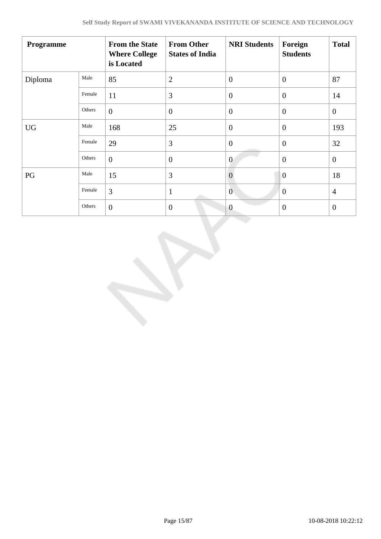| Programme |        | <b>From the State</b><br><b>Where College</b><br>is Located | <b>From Other</b><br><b>States of India</b> | <b>NRI Students</b> | Foreign<br><b>Students</b> | <b>Total</b>   |
|-----------|--------|-------------------------------------------------------------|---------------------------------------------|---------------------|----------------------------|----------------|
| Diploma   | Male   | 85                                                          | $\overline{2}$                              | $\theta$            | $\overline{0}$             | 87             |
|           | Female | 11                                                          | 3                                           | $\theta$            | $\theta$                   | 14             |
|           | Others | $\overline{0}$                                              | $\theta$                                    | $\overline{0}$      | $\theta$                   | $\overline{0}$ |
| <b>UG</b> | Male   | 168                                                         | 25                                          | $\overline{0}$      | $\overline{0}$             | 193            |
|           | Female | 29                                                          | 3                                           | $\overline{0}$      | $\theta$                   | 32             |
|           | Others | $\overline{0}$                                              | $\theta$                                    | $\overline{0}$      | $\overline{0}$             | $\mathbf{0}$   |
| PG        | Male   | 15                                                          | 3                                           | $\overline{0}$      | $\overline{0}$             | 18             |
|           | Female | 3                                                           | $\mathbf{1}$                                | $\mathbf{0}$        | $\theta$                   | $\overline{4}$ |
|           | Others | $\overline{0}$                                              | $\mathbf{0}$                                | $\overline{0}$      | $\mathbf{0}$               | $\mathbf{0}$   |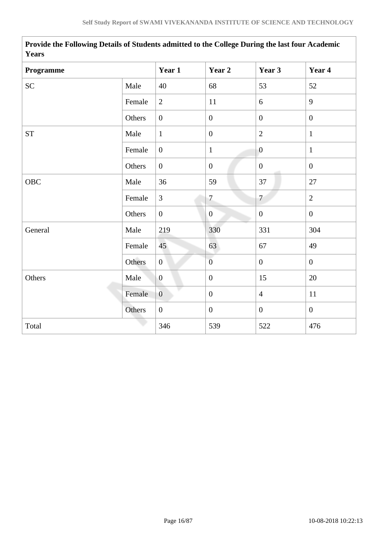| <b>Years</b> |        |                  |                  |                |                  |
|--------------|--------|------------------|------------------|----------------|------------------|
| Programme    |        | Year 1           | Year 2           | Year 3         | Year 4           |
| <b>SC</b>    | Male   | 40               | 68               | 53             | 52               |
|              | Female | $\overline{2}$   | 11               | 6              | 9                |
|              | Others | $\overline{0}$   | $\theta$         | $\overline{0}$ | $\overline{0}$   |
| ${\cal ST}$  | Male   | $\mathbf{1}$     | $\boldsymbol{0}$ | $\overline{2}$ | $\mathbf{1}$     |
|              | Female | $\mathbf{0}$     | $\mathbf{1}$     | $\overline{0}$ | $\mathbf{1}$     |
|              | Others | $\overline{0}$   | $\boldsymbol{0}$ | $\overline{0}$ | $\overline{0}$   |
| OBC          | Male   | 36               | 59               | 37             | 27               |
|              | Female | $\overline{3}$   | $\overline{7}$   | $\overline{7}$ | $\overline{2}$   |
|              | Others | $\boldsymbol{0}$ | $\mathbf{0}$     | $\mathbf{0}$   | $\boldsymbol{0}$ |
| General      | Male   | 219              | 330              | 331            | 304              |
|              | Female | 45               | 63               | 67             | 49               |
|              | Others | $\overline{0}$   | $\overline{0}$   | $\overline{0}$ | $\overline{0}$   |
| Others       | Male   | $\boldsymbol{0}$ | $\boldsymbol{0}$ | 15             | 20               |
|              | Female | $\overline{0}$   | $\boldsymbol{0}$ | $\overline{4}$ | 11               |
|              | Others | $\boldsymbol{0}$ | $\boldsymbol{0}$ | $\overline{0}$ | $\overline{0}$   |
| Total        |        | 346              | 539              | 522            | 476              |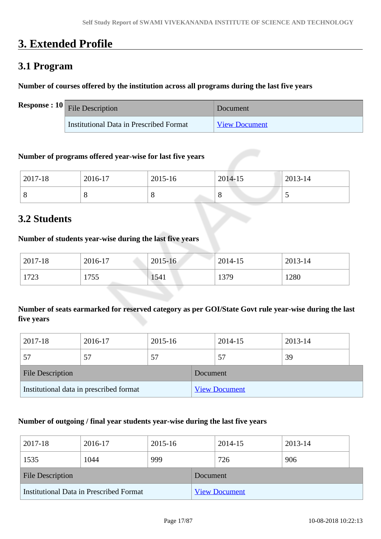# **3. Extended Profile**

### **3.1 Program**

#### **Number of courses offered by the institution across all programs during the last five years**

| <b>Response : 10</b> File Description   | Document             |
|-----------------------------------------|----------------------|
| Institutional Data in Prescribed Format | <b>View Document</b> |

#### **Number of programs offered year-wise for last five years**

| 2017-18 | 2016-17 | 2015-16 | 2014-15 | 2013-14  |
|---------|---------|---------|---------|----------|
| $\circ$ | U       | ບ       |         | <b>پ</b> |

### **3.2 Students**

#### **Number of students year-wise during the last five years**

| 2017-18 | 2016-17               | $2015 - 16$ | 2014-15 | 2013-14 |
|---------|-----------------------|-------------|---------|---------|
| 1723    | 1755<br><b>Common</b> | 1541        | 1379    | 1280    |

#### **Number of seats earmarked for reserved category as per GOI/State Govt rule year-wise during the last five years**

| 2017-18                                 | 2016-17 | 2015-16 |                      | 2014-15 | 2013-14 |  |
|-----------------------------------------|---------|---------|----------------------|---------|---------|--|
| 57                                      | 57      | 57      |                      | 57      | 39      |  |
| <b>File Description</b>                 |         |         | Document             |         |         |  |
| Institutional data in prescribed format |         |         | <b>View Document</b> |         |         |  |

#### **Number of outgoing / final year students year-wise during the last five years**

| 2017-18                                 | 2016-17 | 2015-16 |          | 2014-15              | 2013-14 |  |
|-----------------------------------------|---------|---------|----------|----------------------|---------|--|
| 1535                                    | 1044    | 999     |          | 726                  | 906     |  |
| <b>File Description</b>                 |         |         | Document |                      |         |  |
| Institutional Data in Prescribed Format |         |         |          | <b>View Document</b> |         |  |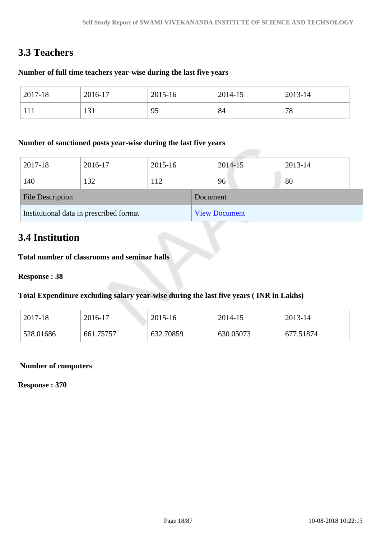# **3.3 Teachers**

#### **Number of full time teachers year-wise during the last five years**

| 2017-18 | 2016-17 | 2015-16 | 2014-15 | 2013-14 |
|---------|---------|---------|---------|---------|
| 111     | 131     | 95      | 84      | 78      |

#### **Number of sanctioned posts year-wise during the last five years**

| 2017-18                                 | 2016-17 | 2015-16 |          | 2014-15              | 2013-14 |  |
|-----------------------------------------|---------|---------|----------|----------------------|---------|--|
| 140                                     | 132     | 112     |          | 96                   | 80      |  |
| <b>File Description</b>                 |         |         | Document |                      |         |  |
| Institutional data in prescribed format |         |         |          | <b>View Document</b> |         |  |

# **3.4 Institution**

**Total number of classrooms and seminar halls**

**Response : 38**

#### **Total Expenditure excluding salary year-wise during the last five years ( INR in Lakhs)**

| 2017-18   | 2016-17   | 2015-16   | 2014-15   | 2013-14   |
|-----------|-----------|-----------|-----------|-----------|
| 528.01686 | 661.75757 | 632.70859 | 630.05073 | 677.51874 |

#### **Number of computers**

**Response : 370**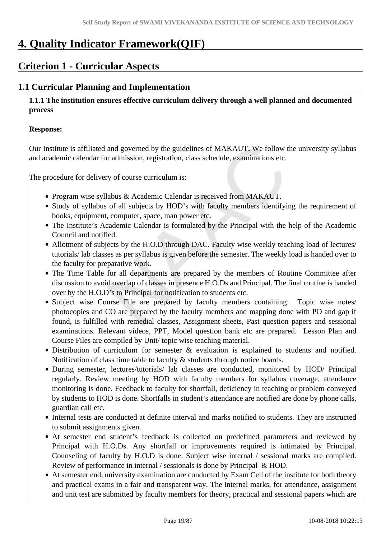# **4. Quality Indicator Framework(QIF)**

# **Criterion 1 - Curricular Aspects**

### **1.1 Curricular Planning and Implementation**

 **1.1.1 The institution ensures effective curriculum delivery through a well planned and documented process** 

#### **Response:**

Our Institute is affiliated and governed by the guidelines of MAKAUT**.** We follow the university syllabus and academic calendar for admission, registration, class schedule, examinations etc.

The procedure for delivery of course curriculum is:

- Program wise syllabus & Academic Calendar is received from MAKAUT.
- Study of syllabus of all subjects by HOD's with faculty members identifying the requirement of books, equipment, computer, space, man power etc.
- The Institute's Academic Calendar is formulated by the Principal with the help of the Academic Council and notified.
- Allotment of subjects by the H.O.D through DAC. Faculty wise weekly teaching load of lectures/ tutorials/ lab classes as per syllabus is given before the semester. The weekly load is handed over to the faculty for preparative work.
- The Time Table for all departments are prepared by the members of Routine Committee after discussion to avoid overlap of classes in presence H.O.Ds and Principal. The final routine is handed over by the H.O.D's to Principal for notification to students etc.
- Subject wise Course File are prepared by faculty members containing: Topic wise notes/ photocopies and CO are prepared by the faculty members and mapping done with PO and gap if found, is fulfilled with remedial classes, Assignment sheets, Past question papers and sessional examinations. Relevant videos, PPT, Model question bank etc are prepared. Lesson Plan and Course Files are compiled by Unit/ topic wise teaching material.
- Distribution of curriculum for semester & evaluation is explained to students and notified. Notification of class time table to faculty & students through notice boards.
- During semester, lectures/tutorials/ lab classes are conducted, monitored by HOD/ Principal regularly. Review meeting by HOD with faculty members for syllabus coverage, attendance monitoring is done. Feedback to faculty for shortfall, deficiency in teaching or problem conveyed by students to HOD is done. Shortfalls in student's attendance are notified are done by phone calls, guardian call etc.
- Internal tests are conducted at definite interval and marks notified to students. They are instructed to submit assignments given.
- At semester end student's feedback is collected on predefined parameters and reviewed by Principal with H.O.Ds. Any shortfall or improvements required is intimated by Principal. Counseling of faculty by H.O.D is done. Subject wise internal / sessional marks are compiled. Review of performance in internal / sessionals is done by Principal & HOD.
- At semester end, university examination are conducted by Exam Cell of the institute for both theory and practical exams in a fair and transparent way. The internal marks, for attendance, assignment and unit test are submitted by faculty members for theory, practical and sessional papers which are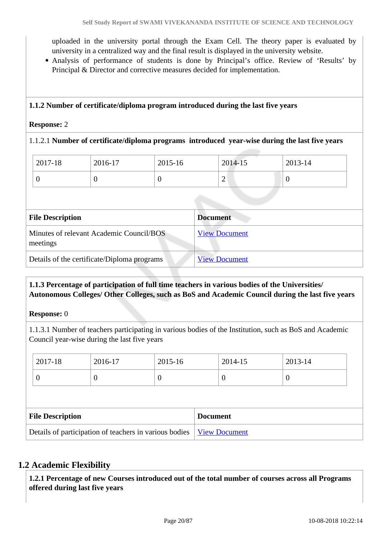uploaded in the university portal through the Exam Cell. The theory paper is evaluated by university in a centralized way and the final result is displayed in the university website.

Analysis of performance of students is done by Principal's office. Review of 'Results' by Principal & Director and corrective measures decided for implementation.

#### **1.1.2 Number of certificate/diploma program introduced during the last five years**

#### **Response:** 2

#### 1.1.2.1 **Number of certificate/diploma programs introduced year-wise during the last five years**

| 2017-18 | 2016-17 | 2015-16 | 2014-15 | 2013-14 |
|---------|---------|---------|---------|---------|
|         |         | ν       | ∽       | U       |

| <b>File Description</b>                              | <b>Document</b>      |
|------------------------------------------------------|----------------------|
| Minutes of relevant Academic Council/BOS<br>meetings | <b>View Document</b> |
| Details of the certificate/Diploma programs          | <b>View Document</b> |

#### **1.1.3 Percentage of participation of full time teachers in various bodies of the Universities/ Autonomous Colleges/ Other Colleges, such as BoS and Academic Council during the last five years**

#### **Response:** 0

1.1.3.1 Number of teachers participating in various bodies of the Institution, such as BoS and Academic Council year-wise during the last five years

| 2017-18                                                | 2016-17 | 2015-16  |                 | 2014-15              | 2013-14        |
|--------------------------------------------------------|---------|----------|-----------------|----------------------|----------------|
| 0                                                      | 0       | $\theta$ |                 | U                    | $\overline{0}$ |
|                                                        |         |          |                 |                      |                |
| <b>File Description</b>                                |         |          | <b>Document</b> |                      |                |
| Details of participation of teachers in various bodies |         |          |                 | <b>View Document</b> |                |

#### **1.2 Academic Flexibility**

 **1.2.1 Percentage of new Courses introduced out of the total number of courses across all Programs offered during last five years**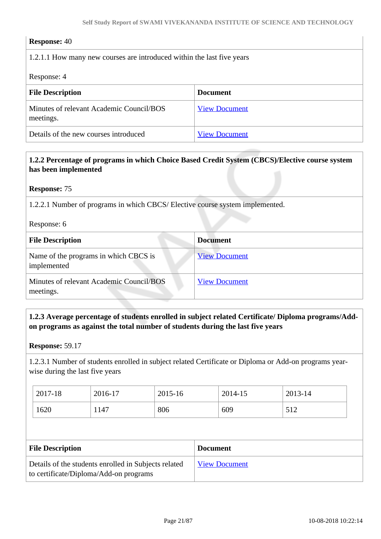#### **Response:** 40

#### 1.2.1.1 How many new courses are introduced within the last five years

Response: 4

| <b>File Description</b>                               | <b>Document</b>      |
|-------------------------------------------------------|----------------------|
| Minutes of relevant Academic Council/BOS<br>meetings. | <b>View Document</b> |
| Details of the new courses introduced                 | <b>View Document</b> |

#### **1.2.2 Percentage of programs in which Choice Based Credit System (CBCS)/Elective course system has been implemented**

**Response:** 75

1.2.2.1 Number of programs in which CBCS/ Elective course system implemented.

Response: 6

| <b>File Description</b>                               | <b>Document</b>      |
|-------------------------------------------------------|----------------------|
| Name of the programs in which CBCS is<br>implemented  | <b>View Document</b> |
| Minutes of relevant Academic Council/BOS<br>meetings. | <b>View Document</b> |

#### **1.2.3 Average percentage of students enrolled in subject related Certificate/ Diploma programs/Addon programs as against the total number of students during the last five years**

**Response:** 59.17

1.2.3.1 Number of students enrolled in subject related Certificate or Diploma or Add-on programs yearwise during the last five years

| 2017-18 | 2016-17 | 2015-16 | 2014-15 | 2013-14    |
|---------|---------|---------|---------|------------|
| 1620    | 1147    | 806     | 609     | 512<br>312 |

| <b>File Description</b>                                                                        | <b>Document</b>      |
|------------------------------------------------------------------------------------------------|----------------------|
| Details of the students enrolled in Subjects related<br>to certificate/Diploma/Add-on programs | <b>View Document</b> |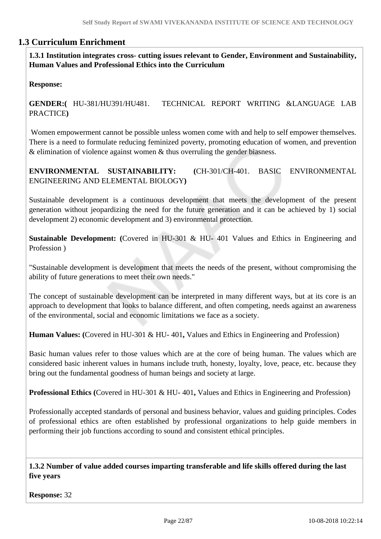#### **1.3 Curriculum Enrichment**

 **1.3.1 Institution integrates cross- cutting issues relevant to Gender, Environment and Sustainability, Human Values and Professional Ethics into the Curriculum**

**Response:** 

**GENDER:(** HU-381/HU391/HU481. TECHNICAL REPORT WRITING &LANGUAGE LAB PRACTICE**)**

 Women empowerment cannot be possible unless women come with and help to self empower themselves. There is a need to formulate reducing feminized poverty, promoting education of women, and prevention  $&$  elimination of violence against women  $&$  thus overruling the gender biasness.

**ENVIRONMENTAL SUSTAINABILITY: (**CH-301/CH-401. BASIC ENVIRONMENTAL ENGINEERING AND ELEMENTAL BIOLOGY**)**

Sustainable development is a continuous development that meets the development of the present generation without jeopardizing the need for the future generation and it can be achieved by 1) social development 2) economic development and 3) environmental protection.

**Sustainable Development: (**Covered in HU-301 & HU- 401 Values and Ethics in Engineering and Profession )

"Sustainable development is development that meets the needs of the present, without compromising the ability of future generations to meet their own needs."

The concept of sustainable development can be interpreted in many different ways, but at its core is an approach to development that looks to balance different, and often competing, needs against an awareness of the environmental, social and economic limitations we face as a society.

**Human Values: (**Covered in HU-301 & HU- 401**,** Values and Ethics in Engineering and Profession)

Basic human values refer to those values which are at the core of being human. The values which are considered basic inherent values in humans include truth, honesty, loyalty, love, peace, etc. because they bring out the fundamental goodness of human beings and society at large.

**Professional Ethics (**Covered in HU-301 & HU- 401**,** Values and Ethics in Engineering and Profession)

Professionally accepted standards of personal and business behavior, values and guiding principles. Codes of professional ethics are often established by professional organizations to help guide members in performing their job functions according to sound and consistent ethical principles.

 **1.3.2 Number of value added courses imparting transferable and life skills offered during the last five years**

**Response:** 32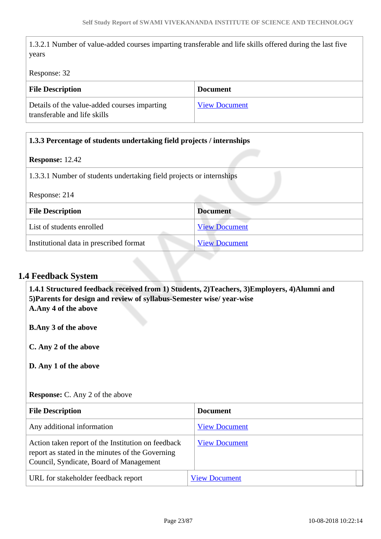1.3.2.1 Number of value-added courses imparting transferable and life skills offered during the last five years

Response: 32

| <b>File Description</b>                                                      | <b>Document</b>      |
|------------------------------------------------------------------------------|----------------------|
| Details of the value-added courses imparting<br>transferable and life skills | <b>View Document</b> |

| 1.3.3 Percentage of students undertaking field projects / internships |                      |  |  |
|-----------------------------------------------------------------------|----------------------|--|--|
| <b>Response: 12.42</b>                                                |                      |  |  |
| 1.3.3.1 Number of students undertaking field projects or internships  |                      |  |  |
| Response: 214                                                         |                      |  |  |
| <b>File Description</b>                                               | <b>Document</b>      |  |  |
| List of students enrolled                                             | <b>View Document</b> |  |  |
| Institutional data in prescribed format                               | <b>View Document</b> |  |  |

### **1.4 Feedback System**

| 1.4.1 Structured feedback received from 1) Students, 2)Teachers, 3)Employers, 4)Alumni and<br>5) Parents for design and review of syllabus-Semester wise/ year-wise<br>A.Any 4 of the above |                      |  |  |  |
|---------------------------------------------------------------------------------------------------------------------------------------------------------------------------------------------|----------------------|--|--|--|
| <b>B.Any 3 of the above</b>                                                                                                                                                                 |                      |  |  |  |
| C. Any 2 of the above                                                                                                                                                                       |                      |  |  |  |
|                                                                                                                                                                                             |                      |  |  |  |
| D. Any 1 of the above                                                                                                                                                                       |                      |  |  |  |
|                                                                                                                                                                                             |                      |  |  |  |
|                                                                                                                                                                                             |                      |  |  |  |
| <b>Response:</b> C. Any 2 of the above                                                                                                                                                      |                      |  |  |  |
| <b>File Description</b>                                                                                                                                                                     | <b>Document</b>      |  |  |  |
| Any additional information                                                                                                                                                                  | <b>View Document</b> |  |  |  |
| Action taken report of the Institution on feedback<br>report as stated in the minutes of the Governing<br>Council, Syndicate, Board of Management                                           | <b>View Document</b> |  |  |  |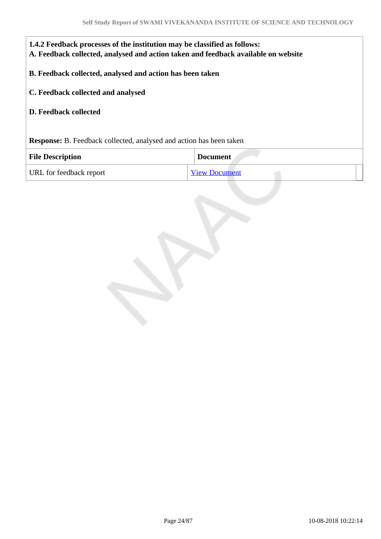| 1.4.2 Feedback processes of the institution may be classified as follows:<br>A. Feedback collected, analysed and action taken and feedback available on website |                      |  |  |  |
|-----------------------------------------------------------------------------------------------------------------------------------------------------------------|----------------------|--|--|--|
| B. Feedback collected, analysed and action has been taken                                                                                                       |                      |  |  |  |
| C. Feedback collected and analysed                                                                                                                              |                      |  |  |  |
| <b>D. Feedback collected</b>                                                                                                                                    |                      |  |  |  |
| <b>Response:</b> B. Feedback collected, analysed and action has been taken                                                                                      |                      |  |  |  |
| <b>File Description</b>                                                                                                                                         | <b>Document</b>      |  |  |  |
| URL for feedback report                                                                                                                                         | <b>View Document</b> |  |  |  |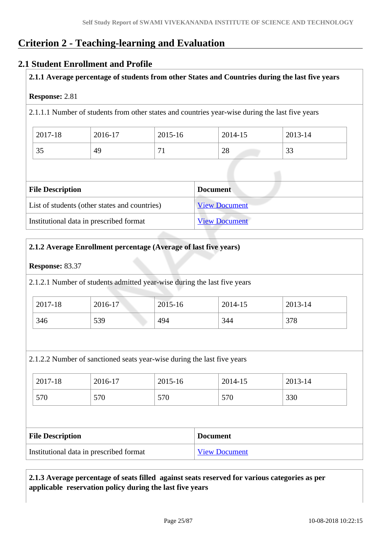# **Criterion 2 - Teaching-learning and Evaluation**

#### **2.1 Student Enrollment and Profile**

**2.1.1 Average percentage of students from other States and Countries during the last five years**

#### **Response:** 2.81

2.1.1.1 Number of students from other states and countries year-wise during the last five years

| 2017-18             | 2016-17 | 2015-16 | 2014-15 | 2013-14      |
|---------------------|---------|---------|---------|--------------|
| $\sim$ $\sim$<br>35 | 49      | л.      | 28      | $\cap$<br>33 |

| <b>File Description</b>                       | <b>Document</b>      |
|-----------------------------------------------|----------------------|
| List of students (other states and countries) | <b>View Document</b> |
| Institutional data in prescribed format       | <b>View Document</b> |

#### **2.1.2 Average Enrollment percentage (Average of last five years)**

#### **Response:** 83.37

2.1.2.1 Number of students admitted year-wise during the last five years

| 2017-18 | 2016-17 | $2015 - 16$ | 2014-15 | 2013-14 |
|---------|---------|-------------|---------|---------|
| 346     | 539     | 494         | 344     | 378     |

2.1.2.2 Number of sanctioned seats year-wise during the last five years

| $2017 - 18$ | 2016-17 | 2015-16 | 2014-15 | 2013-14 |
|-------------|---------|---------|---------|---------|
| 570         | 570     | 570     | 570     | 330     |

| <b>File Description</b>                 | <b>Document</b>      |
|-----------------------------------------|----------------------|
| Institutional data in prescribed format | <b>View Document</b> |

#### **2.1.3 Average percentage of seats filled against seats reserved for various categories as per applicable reservation policy during the last five years**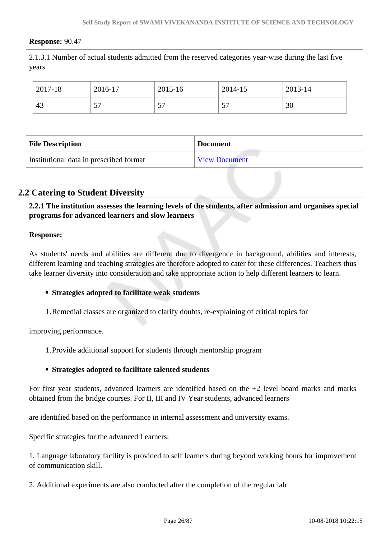#### **Response:** 90.47

2.1.3.1 Number of actual students admitted from the reserved categories year-wise during the last five years

| 2017-18                 | 2016-17 | 2015-16 |                 | 2014-15 | 2013-14 |
|-------------------------|---------|---------|-----------------|---------|---------|
| 43                      | 57      | 57      |                 | 57      | 30      |
|                         |         |         |                 |         |         |
| <b>File Description</b> |         |         |                 |         |         |
|                         |         |         | <b>Document</b> |         |         |

#### **2.2 Catering to Student Diversity**

 **2.2.1 The institution assesses the learning levels of the students, after admission and organises special programs for advanced learners and slow learners**

#### **Response:**

As students' needs and abilities are different due to divergence in background, abilities and interests, different learning and teaching strategies are therefore adopted to cater for these differences. Teachers thus take learner diversity into consideration and take appropriate action to help different learners to learn.

#### **Strategies adopted to facilitate weak students**

1.Remedial classes are organized to clarify doubts, re-explaining of critical topics for

improving performance.

1.Provide additional support for students through mentorship program

#### **Strategies adopted to facilitate talented students**

For first year students, advanced learners are identified based on the +2 level board marks and marks obtained from the bridge courses. For II, III and IV Year students, advanced learners

are identified based on the performance in internal assessment and university exams.

Specific strategies for the advanced Learners:

1. Language laboratory facility is provided to self learners during beyond working hours for improvement of communication skill.

2. Additional experiments are also conducted after the completion of the regular lab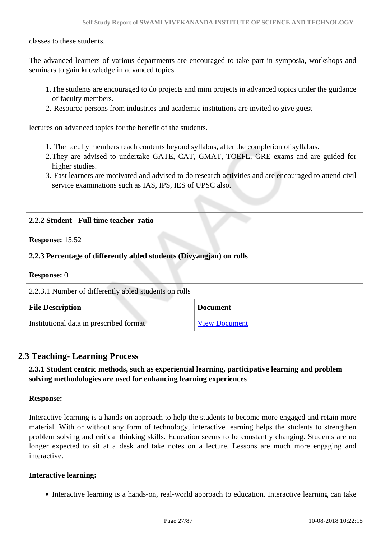classes to these students.

The advanced learners of various departments are encouraged to take part in symposia, workshops and seminars to gain knowledge in advanced topics.

- 1.The students are encouraged to do projects and mini projects in advanced topics under the guidance of faculty members.
- 2. Resource persons from industries and academic institutions are invited to give guest

lectures on advanced topics for the benefit of the students.

- 1. The faculty members teach contents beyond syllabus, after the completion of syllabus.
- 2.They are advised to undertake GATE, CAT, GMAT, TOEFL, GRE exams and are guided for higher studies.
- 3. Fast learners are motivated and advised to do research activities and are encouraged to attend civil service examinations such as IAS, IPS, IES of UPSC also.

#### **2.2.2 Student - Full time teacher ratio**

**Response:** 15.52

#### **2.2.3 Percentage of differently abled students (Divyangjan) on rolls**

| <b>Response:</b> 0 |  |
|--------------------|--|
|--------------------|--|

| <b>File Description</b>                 | Document             |
|-----------------------------------------|----------------------|
| Institutional data in prescribed format | <b>View Document</b> |

#### **2.3 Teaching- Learning Process**

 **2.3.1 Student centric methods, such as experiential learning, participative learning and problem solving methodologies are used for enhancing learning experiences**

#### **Response:**

Interactive learning is a hands-on approach to help the students to become more engaged and retain more material. With or without any form of technology, interactive learning helps the students to strengthen problem solving and critical thinking skills. Education seems to be constantly changing. Students are no longer expected to sit at a desk and take notes on a lecture. Lessons are much more engaging and interactive.

#### **Interactive learning:**

Interactive learning is a hands-on, real-world approach to education. Interactive learning can take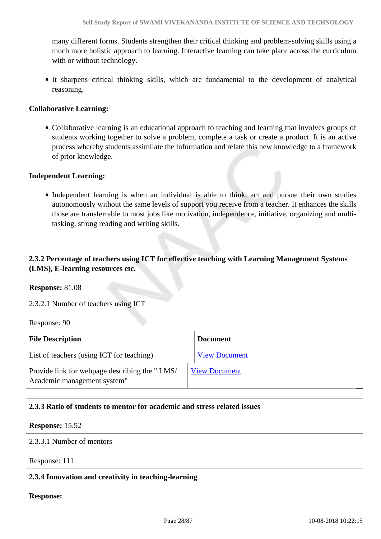many different forms. Students strengthen their critical thinking and problem-solving skills using a much more holistic approach to learning. Interactive learning can take place across the curriculum with or without technology.

It sharpens critical thinking skills, which are fundamental to the development of analytical reasoning.

#### **Collaborative Learning:**

Collaborative learning is an educational approach to teaching and learning that involves groups of students working together to solve a problem, complete a task or create a product. It is an active process whereby students assimilate the information and relate this new knowledge to a framework of prior knowledge.

#### **Independent Learning:**

• Independent learning is when an individual is able to think, act and pursue their own studies autonomously without the same levels of support you receive from a teacher. It enhances the skills those are transferrable to most jobs like motivation, independence, initiative, organizing and multitasking, strong reading and writing skills.

#### **2.3.2 Percentage of teachers using ICT for effective teaching with Learning Management Systems (LMS), E-learning resources etc.**

**Response:** 81.08

2.3.2.1 Number of teachers using ICT

Response: 90

| <b>File Description</b>                                                      | <b>Document</b>      |
|------------------------------------------------------------------------------|----------------------|
| List of teachers (using ICT for teaching)                                    | <b>View Document</b> |
| Provide link for webpage describing the "LMS/<br>Academic management system" | <b>View Document</b> |

#### **2.3.3 Ratio of students to mentor for academic and stress related issues**

#### **Response:** 15.52

2.3.3.1 Number of mentors

Response: 111

#### **2.3.4 Innovation and creativity in teaching-learning**

**Response:**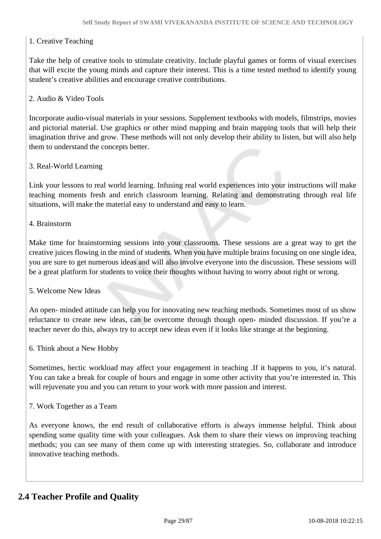#### 1. Creative Teaching

Take the help of creative tools to stimulate creativity. Include playful games or forms of visual exercises that will excite the young minds and capture their interest. This is a time tested method to identify young student's creative abilities and encourage creative contributions.

#### 2. Audio & Video Tools

Incorporate audio-visual materials in your sessions. Supplement textbooks with models, filmstrips, movies and pictorial material. Use graphics or other mind mapping and brain mapping tools that will help their imagination thrive and grow. These methods will not only develop their ability to listen, but will also help them to understand the concepts better.

#### 3. Real-World Learning

Link your lessons to real world learning. Infusing real world experiences into your instructions will make teaching moments fresh and enrich classroom learning. Relating and demonstrating through real life situations, will make the material easy to understand and easy to learn.

#### 4. Brainstorm

Make time for brainstorming sessions into your classrooms. These sessions are a great way to get the creative juices flowing in the mind of students. When you have multiple brains focusing on one single idea, you are sure to get numerous ideas and will also involve everyone into the discussion. These sessions will be a great platform for students to voice their thoughts without having to worry about right or wrong.

#### 5. Welcome New Ideas

An open- minded attitude can help you for innovating new teaching methods. Sometimes most of us show reluctance to create new ideas, can be overcome through though open- minded discussion. If you're a teacher never do this, always try to accept new ideas even if it looks like strange at the beginning.

#### 6. Think about a New Hobby

Sometimes, hectic workload may affect your engagement in teaching .If it happens to you, it's natural. You can take a break for couple of hours and engage in some other activity that you're interested in. This will rejuvenate you and you can return to your work with more passion and interest.

#### 7. Work Together as a Team

As everyone knows, the end result of collaborative efforts is always immense helpful. Think about spending some quality time with your colleagues. Ask them to share their views on improving teaching methods; you can see many of them come up with interesting strategies. So, collaborate and introduce innovative teaching methods.

#### **2.4 Teacher Profile and Quality**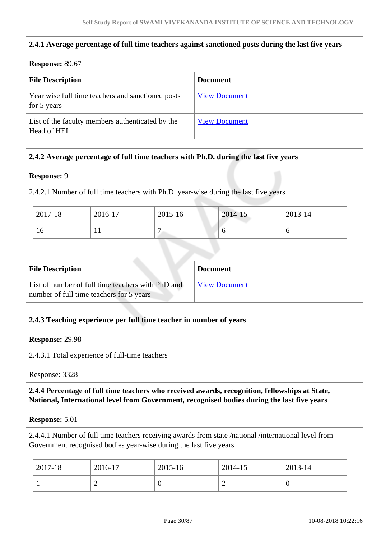| 2.4.1 Average percentage of full time teachers against sanctioned posts during the last five years |                      |  |  |
|----------------------------------------------------------------------------------------------------|----------------------|--|--|
| <b>Response: 89.67</b>                                                                             |                      |  |  |
| <b>File Description</b>                                                                            | <b>Document</b>      |  |  |
| Year wise full time teachers and sanctioned posts<br>for 5 years                                   | <b>View Document</b> |  |  |
| List of the faculty members authenticated by the<br>Head of HEI                                    | <b>View Document</b> |  |  |

#### **2.4.2 Average percentage of full time teachers with Ph.D. during the last five years**

#### **Response:** 9

2.4.2.1 Number of full time teachers with Ph.D. year-wise during the last five years

| $12017 - 18$ | 2016-17 | 2015-16 | 2014-15 | 2013-14 |
|--------------|---------|---------|---------|---------|
| 16           |         |         |         |         |

| <b>File Description</b>                                                                       | <b>Document</b>      |
|-----------------------------------------------------------------------------------------------|----------------------|
| List of number of full time teachers with PhD and<br>number of full time teachers for 5 years | <b>View Document</b> |

#### **2.4.3 Teaching experience per full time teacher in number of years**

#### **Response:** 29.98

2.4.3.1 Total experience of full-time teachers

Response: 3328

#### **2.4.4 Percentage of full time teachers who received awards, recognition, fellowships at State, National, International level from Government, recognised bodies during the last five years**

#### **Response:** 5.01

2.4.4.1 Number of full time teachers receiving awards from state /national /international level from Government recognised bodies year-wise during the last five years

| 2017-18 | 2016-17 | 2015-16 | 2014-15 | 2013-14 |
|---------|---------|---------|---------|---------|
|         |         |         |         |         |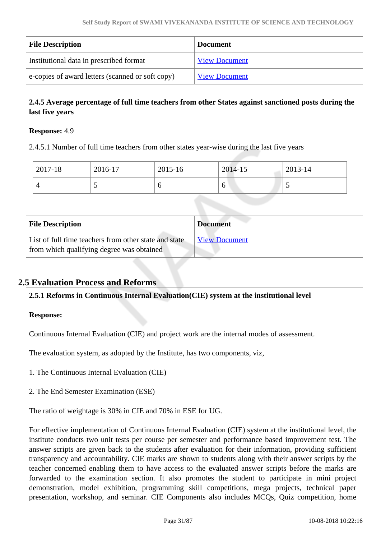| <b>File Description</b>                          | <b>Document</b>      |
|--------------------------------------------------|----------------------|
| Institutional data in prescribed format          | <b>View Document</b> |
| e-copies of award letters (scanned or soft copy) | <b>View Document</b> |

#### **2.4.5 Average percentage of full time teachers from other States against sanctioned posts during the last five years**

#### **Response:** 4.9

2.4.5.1 Number of full time teachers from other states year-wise during the last five years

|                                                                                                    | 2017-18                                    | 2016-17 | 2015-16              |  | 2014-15 | 2013-14 |  |
|----------------------------------------------------------------------------------------------------|--------------------------------------------|---------|----------------------|--|---------|---------|--|
|                                                                                                    | 4                                          |         | 6                    |  | 6       |         |  |
|                                                                                                    |                                            |         |                      |  |         |         |  |
|                                                                                                    | <b>File Description</b><br><b>Document</b> |         |                      |  |         |         |  |
| List of full time teachers from other state and state<br>from which qualifying degree was obtained |                                            |         | <b>View Document</b> |  |         |         |  |

#### **2.5 Evaluation Process and Reforms**

#### **2.5.1 Reforms in Continuous Internal Evaluation(CIE) system at the institutional level**

#### **Response:**

Continuous Internal Evaluation (CIE) and project work are the internal modes of assessment.

The evaluation system, as adopted by the Institute, has two components, viz,

1. The Continuous Internal Evaluation (CIE)

2. The End Semester Examination (ESE)

The ratio of weightage is 30% in CIE and 70% in ESE for UG.

For effective implementation of Continuous Internal Evaluation (CIE) system at the institutional level, the institute conducts two unit tests per course per semester and performance based improvement test. The answer scripts are given back to the students after evaluation for their information, providing sufficient transparency and accountability. CIE marks are shown to students along with their answer scripts by the teacher concerned enabling them to have access to the evaluated answer scripts before the marks are forwarded to the examination section. It also promotes the student to participate in mini project demonstration, model exhibition, programming skill competitions, mega projects, technical paper presentation, workshop, and seminar. CIE Components also includes MCQs, Quiz competition, home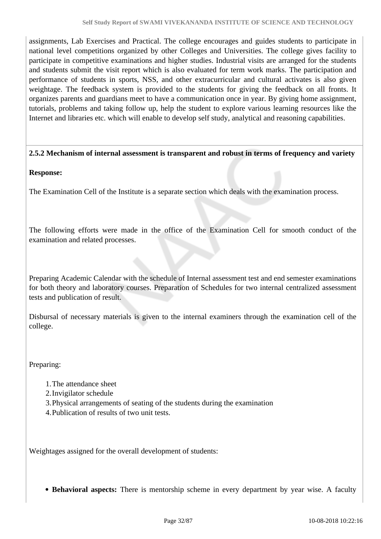assignments, Lab Exercises and Practical. The college encourages and guides students to participate in national level competitions organized by other Colleges and Universities. The college gives facility to participate in competitive examinations and higher studies. Industrial visits are arranged for the students and students submit the visit report which is also evaluated for term work marks. The participation and performance of students in sports, NSS, and other extracurricular and cultural activates is also given weightage. The feedback system is provided to the students for giving the feedback on all fronts. It organizes parents and guardians meet to have a communication once in year. By giving home assignment, tutorials, problems and taking follow up, help the student to explore various learning resources like the Internet and libraries etc. which will enable to develop self study, analytical and reasoning capabilities.

#### **2.5.2 Mechanism of internal assessment is transparent and robust in terms of frequency and variety**

#### **Response:**

The Examination Cell of the Institute is a separate section which deals with the examination process.

The following efforts were made in the office of the Examination Cell for smooth conduct of the examination and related processes.

Preparing Academic Calendar with the schedule of Internal assessment test and end semester examinations for both theory and laboratory courses. Preparation of Schedules for two internal centralized assessment tests and publication of result.

Disbursal of necessary materials is given to the internal examiners through the examination cell of the college.

Preparing:

- 1.The attendance sheet
- 2.Invigilator schedule
- 3.Physical arrangements of seating of the students during the examination
- 4.Publication of results of two unit tests.

Weightages assigned for the overall development of students:

**Behavioral aspects:** There is mentorship scheme in every department by year wise. A faculty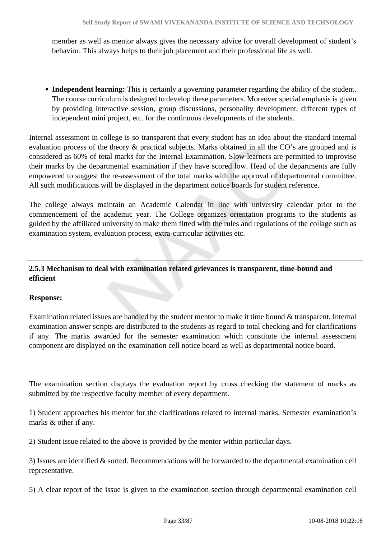member as well as mentor always gives the necessary advice for overall development of student's behavior. This always helps to their job placement and their professional life as well.

**Independent learning:** This is certainly a governing parameter regarding the ability of the student. The course curriculum is designed to develop these parameters. Moreover special emphasis is given by providing interactive session, group discussions, personality development, different types of independent mini project, etc. for the continuous developments of the students.

Internal assessment in college is so transparent that every student has an idea about the standard internal evaluation process of the theory & practical subjects. Marks obtained in all the CO's are grouped and is considered as 60% of total marks for the Internal Examination. Slow learners are permitted to improvise their marks by the departmental examination if they have scored low. Head of the departments are fully empowered to suggest the re-assessment of the total marks with the approval of departmental committee. All such modifications will be displayed in the department notice boards for student reference.

The college always maintain an Academic Calendar in line with university calendar prior to the commencement of the academic year. The College organizes orientation programs to the students as guided by the affiliated university to make them fitted with the rules and regulations of the collage such as examination system, evaluation process, extra-curricular activities etc.

#### **2.5.3 Mechanism to deal with examination related grievances is transparent, time-bound and efficient**

#### **Response:**

Examination related issues are handled by the student mentor to make it time bound & transparent. Internal examination answer scripts are distributed to the students as regard to total checking and for clarifications if any. The marks awarded for the semester examination which constitute the internal assessment component are displayed on the examination cell notice board as well as departmental notice board.

The examination section displays the evaluation report by cross checking the statement of marks as submitted by the respective faculty member of every department.

1) Student approaches his mentor for the clarifications related to internal marks, Semester examination's marks & other if any.

2) Student issue related to the above is provided by the mentor within particular days.

3) Issues are identified & sorted. Recommendations will be forwarded to the departmental examination cell representative.

5) A clear report of the issue is given to the examination section through departmental examination cell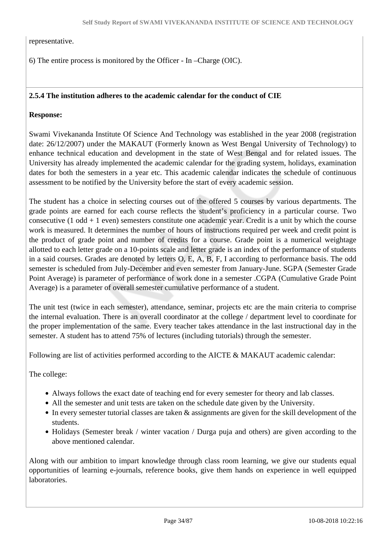representative.

6) The entire process is monitored by the Officer - In –Charge (OIC).

#### **2.5.4 The institution adheres to the academic calendar for the conduct of CIE**

#### **Response:**

Swami Vivekananda Institute Of Science And Technology was established in the year 2008 (registration date: 26/12/2007) under the MAKAUT (Formerly known as West Bengal University of Technology) to enhance technical education and development in the state of West Bengal and for related issues. The University has already implemented the academic calendar for the grading system, holidays, examination dates for both the semesters in a year etc. This academic calendar indicates the schedule of continuous assessment to be notified by the University before the start of every academic session.

The student has a choice in selecting courses out of the offered 5 courses by various departments. The grade points are earned for each course reflects the student's proficiency in a particular course. Two consecutive (1 odd + 1 even) semesters constitute one academic year. Credit is a unit by which the course work is measured. It determines the number of hours of instructions required per week and credit point is the product of grade point and number of credits for a course. Grade point is a numerical weightage allotted to each letter grade on a 10-points scale and letter grade is an index of the performance of students in a said courses. Grades are denoted by letters O, E, A, B, F, I according to performance basis. The odd semester is scheduled from July-December and even semester from January-June. SGPA (Semester Grade Point Average) is parameter of performance of work done in a semester .CGPA (Cumulative Grade Point Average) is a parameter of overall semester cumulative performance of a student.

The unit test (twice in each semester), attendance, seminar, projects etc are the main criteria to comprise the internal evaluation. There is an overall coordinator at the college / department level to coordinate for the proper implementation of the same. Every teacher takes attendance in the last instructional day in the semester. A student has to attend 75% of lectures (including tutorials) through the semester.

Following are list of activities performed according to the AICTE & MAKAUT academic calendar:

The college:

- Always follows the exact date of teaching end for every semester for theory and lab classes.
- All the semester and unit tests are taken on the schedule date given by the University.
- In every semester tutorial classes are taken & assignments are given for the skill development of the students.
- Holidays (Semester break / winter vacation / Durga puja and others) are given according to the above mentioned calendar.

Along with our ambition to impart knowledge through class room learning, we give our students equal opportunities of learning e-journals, reference books, give them hands on experience in well equipped laboratories.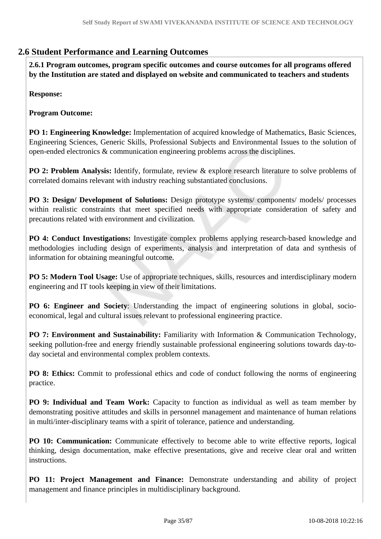### **2.6 Student Performance and Learning Outcomes**

 **2.6.1 Program outcomes, program specific outcomes and course outcomes for all programs offered by the Institution are stated and displayed on website and communicated to teachers and students**

**Response:** 

**Program Outcome:**

**PO 1: Engineering Knowledge:** Implementation of acquired knowledge of Mathematics, Basic Sciences, Engineering Sciences, Generic Skills, Professional Subjects and Environmental Issues to the solution of open-ended electronics & communication engineering problems across the disciplines.

**PO 2: Problem Analysis:** Identify, formulate, review & explore research literature to solve problems of correlated domains relevant with industry reaching substantiated conclusions.

**PO 3: Design/ Development of Solutions:** Design prototype systems/ components/ models/ processes within realistic constraints that meet specified needs with appropriate consideration of safety and precautions related with environment and civilization.

**PO 4: Conduct Investigations:** Investigate complex problems applying research-based knowledge and methodologies including design of experiments, analysis and interpretation of data and synthesis of information for obtaining meaningful outcome.

**PO 5: Modern Tool Usage:** Use of appropriate techniques, skills, resources and interdisciplinary modern engineering and IT tools keeping in view of their limitations.

**PO 6: Engineer and Society**: Understanding the impact of engineering solutions in global, socioeconomical, legal and cultural issues relevant to professional engineering practice.

**PO 7: Environment and Sustainability:** Familiarity with Information & Communication Technology, seeking pollution-free and energy friendly sustainable professional engineering solutions towards day-today societal and environmental complex problem contexts.

**PO 8: Ethics:** Commit to professional ethics and code of conduct following the norms of engineering practice.

**PO 9: Individual and Team Work:** Capacity to function as individual as well as team member by demonstrating positive attitudes and skills in personnel management and maintenance of human relations in multi/inter-disciplinary teams with a spirit of tolerance, patience and understanding.

**PO 10: Communication:** Communicate effectively to become able to write effective reports, logical thinking, design documentation, make effective presentations, give and receive clear oral and written instructions.

**PO 11: Project Management and Finance:** Demonstrate understanding and ability of project management and finance principles in multidisciplinary background.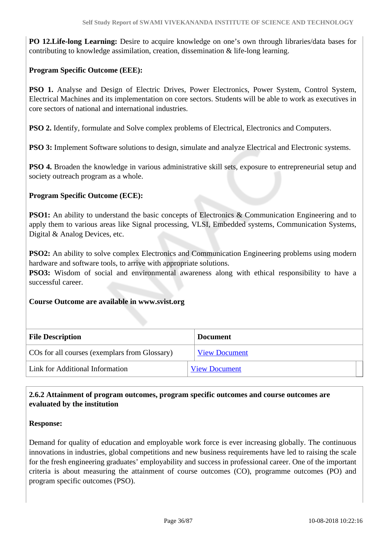**PO 12.Life-long Learning:** Desire to acquire knowledge on one's own through libraries/data bases for contributing to knowledge assimilation, creation, dissemination & life-long learning.

#### **Program Specific Outcome (EEE):**

**PSO 1.** Analyse and Design of Electric Drives, Power Electronics, Power System, Control System, Electrical Machines and its implementation on core sectors. Students will be able to work as executives in core sectors of national and international industries.

**PSO 2.** Identify, formulate and Solve complex problems of Electrical, Electronics and Computers.

**PSO 3:** Implement Software solutions to design, simulate and analyze Electrical and Electronic systems.

**PSO 4.** Broaden the knowledge in various administrative skill sets, exposure to entrepreneurial setup and society outreach program as a whole.

#### **Program Specific Outcome (ECE):**

**PSO1:** An ability to understand the basic concepts of Electronics & Communication Engineering and to apply them to various areas like Signal processing, VLSI, Embedded systems, Communication Systems, Digital & Analog Devices, etc.

**PSO2:** An ability to solve complex Electronics and Communication Engineering problems using modern hardware and software tools, to arrive with appropriate solutions.

**PSO3:** Wisdom of social and environmental awareness along with ethical responsibility to have a successful career.

#### **Course Outcome are available in www.svist.org**

| <b>File Description</b>                       | <b>Document</b>      |
|-----------------------------------------------|----------------------|
| COs for all courses (exemplars from Glossary) | <b>View Document</b> |
| Link for Additional Information               | <b>View Document</b> |

#### **2.6.2 Attainment of program outcomes, program specific outcomes and course outcomes are evaluated by the institution**

#### **Response:**

Demand for quality of education and employable work force is ever increasing globally. The continuous innovations in industries, global competitions and new business requirements have led to raising the scale for the fresh engineering graduates' employability and success in professional career. One of the important criteria is about measuring the attainment of course outcomes (CO), programme outcomes (PO) and program specific outcomes (PSO).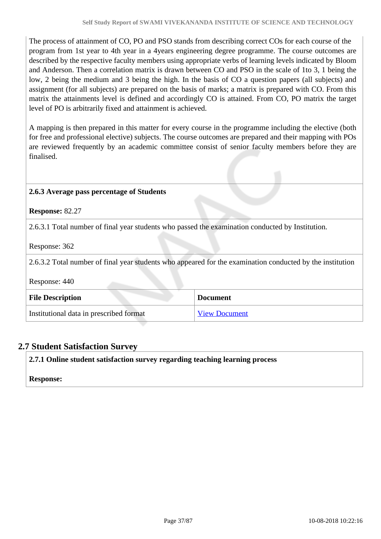The process of attainment of CO, PO and PSO stands from describing correct COs for each course of the program from 1st year to 4th year in a 4years engineering degree programme. The course outcomes are described by the respective faculty members using appropriate verbs of learning levels indicated by Bloom and Anderson. Then a correlation matrix is drawn between CO and PSO in the scale of 1to 3, 1 being the low, 2 being the medium and 3 being the high. In the basis of CO a question papers (all subjects) and assignment (for all subjects) are prepared on the basis of marks; a matrix is prepared with CO. From this matrix the attainments level is defined and accordingly CO is attained. From CO, PO matrix the target level of PO is arbitrarily fixed and attainment is achieved.

A mapping is then prepared in this matter for every course in the programme including the elective (both for free and professional elective) subjects. The course outcomes are prepared and their mapping with POs are reviewed frequently by an academic committee consist of senior faculty members before they are finalised.

### **2.6.3 Average pass percentage of Students**

**Response:** 82.27

2.6.3.1 Total number of final year students who passed the examination conducted by Institution.

Response: 362

2.6.3.2 Total number of final year students who appeared for the examination conducted by the institution

Response: 440

| <b>File Description</b>                 | <b>Document</b>      |
|-----------------------------------------|----------------------|
| Institutional data in prescribed format | <b>View Document</b> |

# **2.7 Student Satisfaction Survey**

**2.7.1 Online student satisfaction survey regarding teaching learning process**

#### **Response:**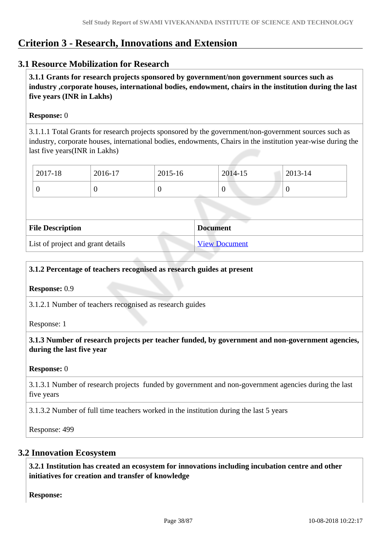# **Criterion 3 - Research, Innovations and Extension**

# **3.1 Resource Mobilization for Research**

 **3.1.1 Grants for research projects sponsored by government/non government sources such as industry ,corporate houses, international bodies, endowment, chairs in the institution during the last five years (INR in Lakhs)** 

### **Response:** 0

3.1.1.1 Total Grants for research projects sponsored by the government/non-government sources such as industry, corporate houses, international bodies, endowments, Chairs in the institution year-wise during the last five years(INR in Lakhs)

| 2017-18 | 2016-17 | 2015-16 | 2014-15 | 2013-14 |
|---------|---------|---------|---------|---------|
|         |         |         | ν       |         |

| <b>File Description</b>           | <b>Document</b>      |
|-----------------------------------|----------------------|
| List of project and grant details | <b>View Document</b> |

### **3.1.2 Percentage of teachers recognised as research guides at present**

**Response:** 0.9

3.1.2.1 Number of teachers recognised as research guides

Response: 1

 **3.1.3 Number of research projects per teacher funded, by government and non-government agencies, during the last five year**

#### **Response:** 0

3.1.3.1 Number of research projects funded by government and non-government agencies during the last five years

3.1.3.2 Number of full time teachers worked in the institution during the last 5 years

Response: 499

### **3.2 Innovation Ecosystem**

 **3.2.1 Institution has created an ecosystem for innovations including incubation centre and other initiatives for creation and transfer of knowledge**

**Response:**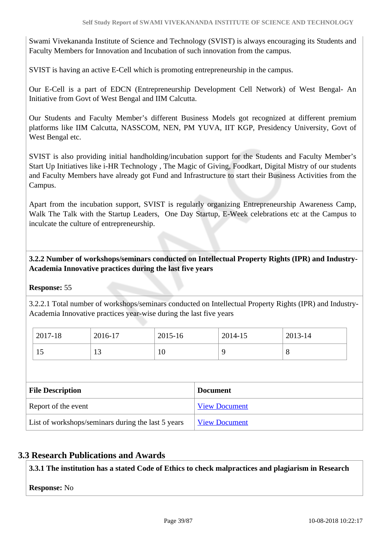Swami Vivekananda Institute of Science and Technology (SVIST) is always encouraging its Students and Faculty Members for Innovation and Incubation of such innovation from the campus.

SVIST is having an active E-Cell which is promoting entrepreneurship in the campus.

Our E-Cell is a part of EDCN (Entrepreneurship Development Cell Network) of West Bengal- An Initiative from Govt of West Bengal and IIM Calcutta.

Our Students and Faculty Member's different Business Models got recognized at different premium platforms like IIM Calcutta, NASSCOM, NEN, PM YUVA, IIT KGP, Presidency University, Govt of West Bengal etc.

SVIST is also providing initial handholding/incubation support for the Students and Faculty Member's Start Up Initiatives like i-HR Technology , The Magic of Giving, Foodkart, Digital Mistry of our students and Faculty Members have already got Fund and Infrastructure to start their Business Activities from the Campus.

Apart from the incubation support, SVIST is regularly organizing Entrepreneurship Awareness Camp, Walk The Talk with the Startup Leaders, One Day Startup, E-Week celebrations etc at the Campus to inculcate the culture of entrepreneurship.

# **3.2.2 Number of workshops/seminars conducted on Intellectual Property Rights (IPR) and Industry-Academia Innovative practices during the last five years**

### **Response:** 55

3.2.2.1 Total number of workshops/seminars conducted on Intellectual Property Rights (IPR) and Industry-Academia Innovative practices year-wise during the last five years

| 2017-18 | 2016-17 | 2015-16 | 2014-15 | 2013-14 |
|---------|---------|---------|---------|---------|
| 12      | $\sim$  | 10      | O       | v       |

| <b>File Description</b>                            | <b>Document</b>      |
|----------------------------------------------------|----------------------|
| Report of the event                                | <b>View Document</b> |
| List of workshops/seminars during the last 5 years | <b>View Document</b> |

# **3.3 Research Publications and Awards**

**3.3.1 The institution has a stated Code of Ethics to check malpractices and plagiarism in Research**

#### **Response:** No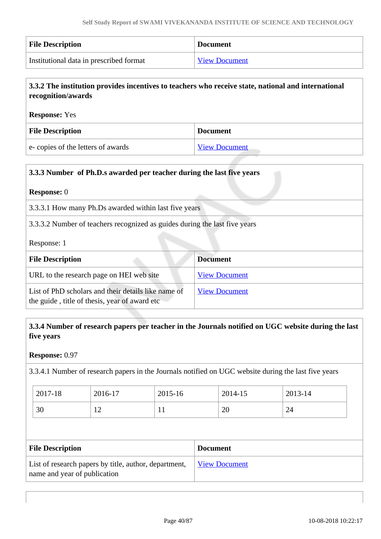| <b>File Description</b>                 | <b>Document</b>      |
|-----------------------------------------|----------------------|
| Institutional data in prescribed format | <b>View Document</b> |

# **3.3.2 The institution provides incentives to teachers who receive state, national and international recognition/awards**

#### **Response:** Yes

| <b>File Description</b>           | <b>Document</b>      |
|-----------------------------------|----------------------|
| e-copies of the letters of awards | <b>View Document</b> |

| 3.3.3 Number of Ph.D.s awarded per teacher during the last five years                                |                      |  |  |
|------------------------------------------------------------------------------------------------------|----------------------|--|--|
| <b>Response:</b> 0                                                                                   |                      |  |  |
| 3.3.3.1 How many Ph.Ds awarded within last five years                                                |                      |  |  |
| 3.3.3.2 Number of teachers recognized as guides during the last five years<br>Response: 1            |                      |  |  |
| <b>File Description</b>                                                                              | <b>Document</b>      |  |  |
| URL to the research page on HEI web site                                                             | <b>View Document</b> |  |  |
| List of PhD scholars and their details like name of<br>the guide, title of thesis, year of award etc | <b>View Document</b> |  |  |

# **3.3.4 Number of research papers per teacher in the Journals notified on UGC website during the last five years**

### **Response:** 0.97

3.3.4.1 Number of research papers in the Journals notified on UGC website during the last five years

| $2017 - 18$ | 2016-17        | 2015-16 | 2014-15 | 2013-14 |
|-------------|----------------|---------|---------|---------|
| 30          | $\overline{1}$ | T T     | 20      | 24      |

| <b>File Description</b>                                                               | <b>Document</b>      |
|---------------------------------------------------------------------------------------|----------------------|
| List of research papers by title, author, department,<br>name and year of publication | <b>View Document</b> |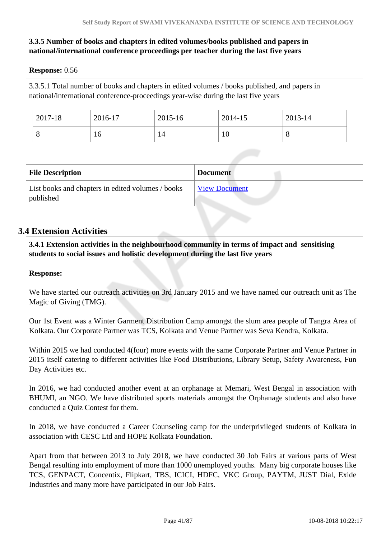# **3.3.5 Number of books and chapters in edited volumes/books published and papers in national/international conference proceedings per teacher during the last five years**

### **Response:** 0.56

3.3.5.1 Total number of books and chapters in edited volumes / books published, and papers in national/international conference-proceedings year-wise during the last five years

| 2017-18 | 2016-17 | 2015-16 | 2014-15 | $2013 - 14$ |  |
|---------|---------|---------|---------|-------------|--|
|         | 10      | 14      | 1 U     | U           |  |

| <b>File Description</b>                                        | <b>Document</b>      |
|----------------------------------------------------------------|----------------------|
| List books and chapters in edited volumes / books<br>published | <b>View Document</b> |

# **3.4 Extension Activities**

 **3.4.1 Extension activities in the neighbourhood community in terms of impact and sensitising students to social issues and holistic development during the last five years**

### **Response:**

We have started our outreach activities on 3rd January 2015 and we have named our outreach unit as The Magic of Giving (TMG).

Our 1st Event was a Winter Garment Distribution Camp amongst the slum area people of Tangra Area of Kolkata. Our Corporate Partner was TCS, Kolkata and Venue Partner was Seva Kendra, Kolkata.

Within 2015 we had conducted 4(four) more events with the same Corporate Partner and Venue Partner in 2015 itself catering to different activities like Food Distributions, Library Setup, Safety Awareness, Fun Day Activities etc.

In 2016, we had conducted another event at an orphanage at Memari, West Bengal in association with BHUMI, an NGO. We have distributed sports materials amongst the Orphanage students and also have conducted a Quiz Contest for them.

In 2018, we have conducted a Career Counseling camp for the underprivileged students of Kolkata in association with CESC Ltd and HOPE Kolkata Foundation.

Apart from that between 2013 to July 2018, we have conducted 30 Job Fairs at various parts of West Bengal resulting into employment of more than 1000 unemployed youths. Many big corporate houses like TCS, GENPACT, Concentix, Flipkart, TBS, ICICI, HDFC, VKC Group, PAYTM, JUST Dial, Exide Industries and many more have participated in our Job Fairs.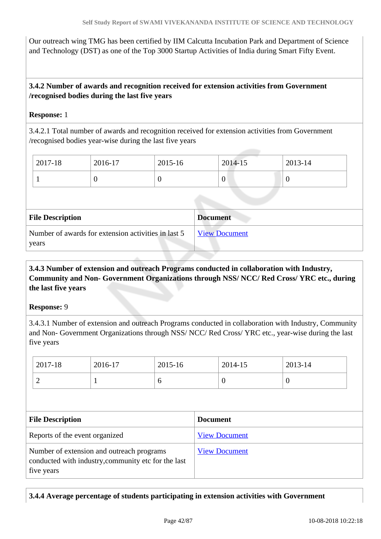Our outreach wing TMG has been certified by IIM Calcutta Incubation Park and Department of Science and Technology (DST) as one of the Top 3000 Startup Activities of India during Smart Fifty Event.

# **3.4.2 Number of awards and recognition received for extension activities from Government /recognised bodies during the last five years**

### **Response:** 1

3.4.2.1 Total number of awards and recognition received for extension activities from Government /recognised bodies year-wise during the last five years

| $2017 - 18$ | 2016-17 | 2015-16 | 2014-15          | 2013-14 |
|-------------|---------|---------|------------------|---------|
|             |         |         | $\boldsymbol{0}$ | ◡       |

| <b>File Description</b>                                      | <b>Document</b>      |
|--------------------------------------------------------------|----------------------|
| Number of awards for extension activities in last 5<br>years | <b>View Document</b> |

# **3.4.3 Number of extension and outreach Programs conducted in collaboration with Industry, Community and Non- Government Organizations through NSS/ NCC/ Red Cross/ YRC etc., during the last five years**

### **Response:** 9

3.4.3.1 Number of extension and outreach Programs conducted in collaboration with Industry, Community and Non- Government Organizations through NSS/ NCC/ Red Cross/ YRC etc., year-wise during the last five years

| 2017-18                                                                                                        | 2016-17 | 2015-16              | 2014-15          | 2013-14          |
|----------------------------------------------------------------------------------------------------------------|---------|----------------------|------------------|------------------|
| 2                                                                                                              |         | 6                    | $\boldsymbol{0}$ | $\boldsymbol{0}$ |
|                                                                                                                |         |                      |                  |                  |
|                                                                                                                |         |                      |                  |                  |
| <b>File Description</b>                                                                                        |         | <b>Document</b>      |                  |                  |
| Reports of the event organized                                                                                 |         | <b>View Document</b> |                  |                  |
| Number of extension and outreach programs<br>conducted with industry, community etc for the last<br>five years |         | <b>View Document</b> |                  |                  |

# **3.4.4 Average percentage of students participating in extension activities with Government**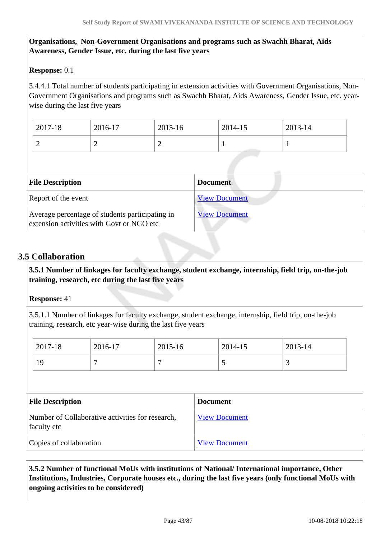# **Organisations, Non-Government Organisations and programs such as Swachh Bharat, Aids Awareness, Gender Issue, etc. during the last five years**

### **Response:** 0.1

3.4.4.1 Total number of students participating in extension activities with Government Organisations, Non-Government Organisations and programs such as Swachh Bharat, Aids Awareness, Gender Issue, etc. yearwise during the last five years

| 2017-18 | 2016-17 | 2015-16 | 2014-15 | 2013-14 |
|---------|---------|---------|---------|---------|
| ∽       | ∽       | ∽       |         |         |

| <b>File Description</b>                                                                      | <b>Document</b>      |
|----------------------------------------------------------------------------------------------|----------------------|
| Report of the event                                                                          | <b>View Document</b> |
| Average percentage of students participating in<br>extension activities with Govt or NGO etc | <b>View Document</b> |

# **3.5 Collaboration**

 **3.5.1 Number of linkages for faculty exchange, student exchange, internship, field trip, on-the-job training, research, etc during the last five years**

#### **Response:** 41

3.5.1.1 Number of linkages for faculty exchange, student exchange, internship, field trip, on-the-job training, research, etc year-wise during the last five years

| 2017-18                                                         | 2016-17 | 2015-16 |                      | 2014-15              | 2013-14 |  |
|-----------------------------------------------------------------|---------|---------|----------------------|----------------------|---------|--|
| 19                                                              | 7       | 7       |                      | 5                    | 3       |  |
|                                                                 |         |         |                      |                      |         |  |
| <b>File Description</b>                                         |         |         | <b>Document</b>      |                      |         |  |
| Number of Collaborative activities for research,<br>faculty etc |         |         | <b>View Document</b> |                      |         |  |
| Copies of collaboration                                         |         |         |                      | <b>View Document</b> |         |  |

 **3.5.2 Number of functional MoUs with institutions of National/ International importance, Other Institutions, Industries, Corporate houses etc., during the last five years (only functional MoUs with ongoing activities to be considered)**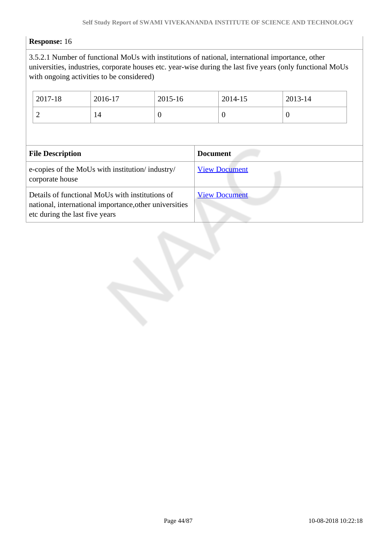# **Response:** 16

3.5.2.1 Number of functional MoUs with institutions of national, international importance, other universities, industries, corporate houses etc. year-wise during the last five years (only functional MoUs with ongoing activities to be considered)

| 2017-18                                                                                                                                     | 2016-17 | 2015-16          |                      | 2014-15  | 2013-14  |
|---------------------------------------------------------------------------------------------------------------------------------------------|---------|------------------|----------------------|----------|----------|
|                                                                                                                                             | 14      | $\boldsymbol{0}$ |                      | $\theta$ | $\theta$ |
|                                                                                                                                             |         |                  |                      |          |          |
| <b>File Description</b>                                                                                                                     |         | <b>Document</b>  |                      |          |          |
| e-copies of the MoUs with institution/industry/<br>corporate house                                                                          |         |                  | <b>View Document</b> |          |          |
| Details of functional MoUs with institutions of<br>national, international importance, other universities<br>etc during the last five years |         |                  | <b>View Document</b> |          |          |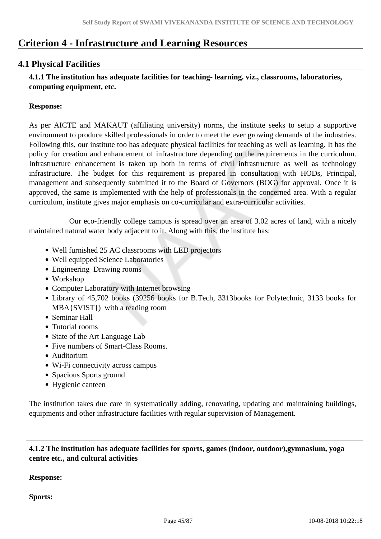# **Criterion 4 - Infrastructure and Learning Resources**

# **4.1 Physical Facilities**

 **4.1.1 The institution has adequate facilities for teaching- learning. viz., classrooms, laboratories, computing equipment, etc.**

### **Response:**

As per AICTE and MAKAUT (affiliating university) norms, the institute seeks to setup a supportive environment to produce skilled professionals in order to meet the ever growing demands of the industries. Following this, our institute too has adequate physical facilities for teaching as well as learning. It has the policy for creation and enhancement of infrastructure depending on the requirements in the curriculum. Infrastructure enhancement is taken up both in terms of civil infrastructure as well as technology infrastructure. The budget for this requirement is prepared in consultation with HODs, Principal, management and subsequently submitted it to the Board of Governors (BOG) for approval. Once it is approved, the same is implemented with the help of professionals in the concerned area. With a regular curriculum, institute gives major emphasis on co-curricular and extra-curricular activities.

 Our eco-friendly college campus is spread over an area of 3.02 acres of land, with a nicely maintained natural water body adjacent to it. Along with this, the institute has:

- Well furnished 25 AC classrooms with LED projectors
- Well equipped Science Laboratories
- Engineering Drawing rooms
- Workshop
- Computer Laboratory with Internet browsing
- Library of 45,702 books (39256 books for B.Tech, 3313books for Polytechnic, 3133 books for MBA{SVIST}) with a reading room
- Seminar Hall
- Tutorial rooms
- State of the Art Language Lab
- Five numbers of Smart-Class Rooms.
- Auditorium
- Wi-Fi connectivity across campus
- Spacious Sports ground
- Hygienic canteen

The institution takes due care in systematically adding, renovating, updating and maintaining buildings, equipments and other infrastructure facilities with regular supervision of Management.

### **4.1.2 The institution has adequate facilities for sports, games (indoor, outdoor),gymnasium, yoga centre etc., and cultural activities**

**Response:** 

**Sports:**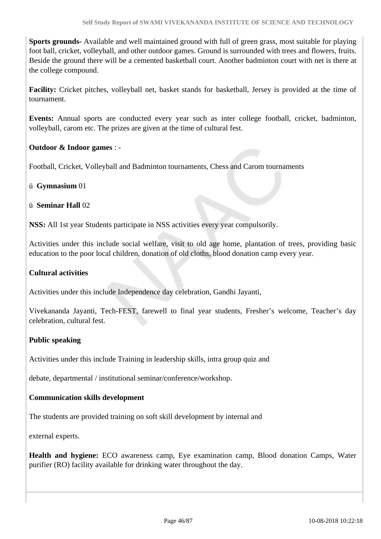**Sports grounds-** Available and well maintained ground with full of green grass, most suitable for playing foot ball, cricket, volleyball, and other outdoor games. Ground is surrounded with trees and flowers, fruits. Beside the ground there will be a cemented basketball court. Another badminton court with net is there at the college compound.

**Facility:** Cricket pitches, volleyball net, basket stands for basketball, Jersey is provided at the time of tournament.

**Events:** Annual sports are conducted every year such as inter college football, cricket, badminton, volleyball, carom etc. The prizes are given at the time of cultural fest.

### **Outdoor & Indoor games** : -

Football, Cricket, Volleyball and Badminton tournaments, Chess and Carom tournaments

- ü **Gymnasium** 01
- ü **Seminar Hall** 02

**NSS:** All 1st year Students participate in NSS activities every year compulsorily.

Activities under this include social welfare, visit to old age home, plantation of trees, providing basic education to the poor local children, donation of old cloths, blood donation camp every year.

### **Cultural activities**

Activities under this include Independence day celebration, Gandhi Jayanti,

Vivekananda Jayanti, Tech-FEST, farewell to final year students, Fresher's welcome, Teacher's day celebration, cultural fest.

### **Public speaking**

Activities under this include Training in leadership skills, intra group quiz and

debate, departmental / institutional seminar/conference/workshop.

#### **Communication skills development**

The students are provided training on soft skill development by internal and

external experts.

**Health and hygiene:** ECO awareness camp, Eye examination camp, Blood donation Camps, Water purifier (RO) facility available for drinking water throughout the day.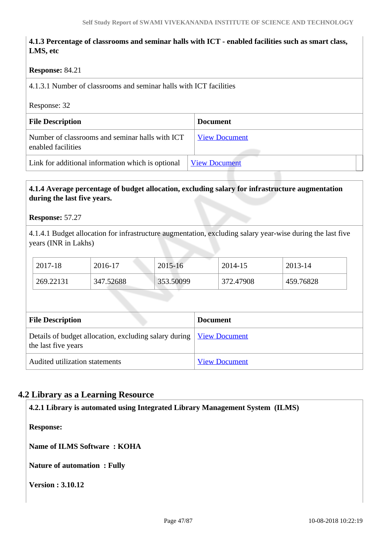## **4.1.3 Percentage of classrooms and seminar halls with ICT - enabled facilities such as smart class, LMS, etc**

#### **Response:** 84.21

4.1.3.1 Number of classrooms and seminar halls with ICT facilities

#### Response: 32

| <b>File Description</b>                                               | <b>Document</b>      |
|-----------------------------------------------------------------------|----------------------|
| Number of classrooms and seminar halls with ICT<br>enabled facilities | <b>View Document</b> |
| Link for additional information which is optional                     | <b>View Document</b> |

### **4.1.4 Average percentage of budget allocation, excluding salary for infrastructure augmentation during the last five years.**

#### **Response:** 57.27

4.1.4.1 Budget allocation for infrastructure augmentation, excluding salary year-wise during the last five years (INR in Lakhs)

| 2017-18   | 2016-17   | 2015-16   | 2014-15   | 2013-14   |
|-----------|-----------|-----------|-----------|-----------|
| 269.22131 | 347.52688 | 353.50099 | 372.47908 | 459.76828 |

| <b>File Description</b>                                                                      | <b>Document</b>      |
|----------------------------------------------------------------------------------------------|----------------------|
| Details of budget allocation, excluding salary during   View Document<br>the last five years |                      |
| Audited utilization statements                                                               | <b>View Document</b> |

# **4.2 Library as a Learning Resource**

 **4.2.1 Library is automated using Integrated Library Management System (ILMS) Response: Name of ILMS Software : KOHA Nature of automation : Fully Version : 3.10.12**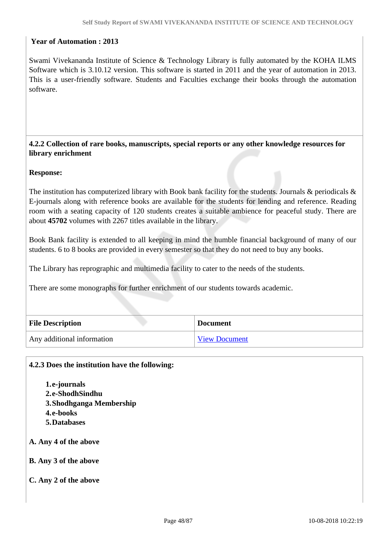### **Year of Automation : 2013**

Swami Vivekananda Institute of Science & Technology Library is fully automated by the KOHA ILMS Software which is 3.10.12 version. This software is started in 2011 and the year of automation in 2013. This is a user-friendly software. Students and Faculties exchange their books through the automation software.

 **4.2.2 Collection of rare books, manuscripts, special reports or any other knowledge resources for library enrichment**

#### **Response:**

The institution has computerized library with Book bank facility for the students. Journals & periodicals & E-journals along with reference books are available for the students for lending and reference. Reading room with a seating capacity of 120 students creates a suitable ambience for peaceful study. There are about **45702** volumes with 2267 titles available in the library.

Book Bank facility is extended to all keeping in mind the humble financial background of many of our students. 6 to 8 books are provided in every semester so that they do not need to buy any books.

The Library has reprographic and multimedia facility to cater to the needs of the students.

There are some monographs for further enrichment of our students towards academic.

| <b>File Description</b>    | <b>Document</b>      |
|----------------------------|----------------------|
| Any additional information | <b>View Document</b> |

**4.2.3 Does the institution have the following:**

**1.e-journals 2.e-ShodhSindhu 3.Shodhganga Membership 4.e-books 5.Databases**

**A. Any 4 of the above**

- **B. Any 3 of the above**
- **C. Any 2 of the above**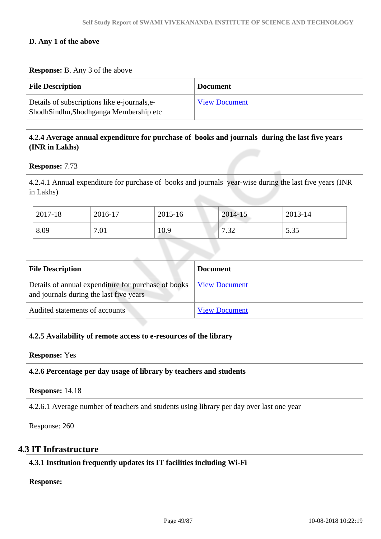### **D. Any 1 of the above**

**Response:** B. Any 3 of the above

| <b>File Description</b>                                                               | <b>Document</b>      |
|---------------------------------------------------------------------------------------|----------------------|
| Details of subscriptions like e-journals, e-<br>ShodhSindhu,Shodhganga Membership etc | <b>View Document</b> |

### **4.2.4 Average annual expenditure for purchase of books and journals during the last five years (INR in Lakhs)**

#### **Response:** 7.73

4.2.4.1 Annual expenditure for purchase of books and journals year-wise during the last five years (INR in Lakhs)

| 2017-18 | 2016-17 | 2015-16 | 2014-15 | 2013-14 |
|---------|---------|---------|---------|---------|
| 8.09    | 7.01    | 10.9    | 7.32    | 5.35    |

| <b>File Description</b>                                                                        | <b>Document</b>      |
|------------------------------------------------------------------------------------------------|----------------------|
| Details of annual expenditure for purchase of books<br>and journals during the last five years | <u>View Document</u> |
| Audited statements of accounts                                                                 | <b>View Document</b> |

### **4.2.5 Availability of remote access to e-resources of the library**

**Response:** Yes

#### **4.2.6 Percentage per day usage of library by teachers and students**

#### **Response:** 14.18

4.2.6.1 Average number of teachers and students using library per day over last one year

Response: 260

# **4.3 IT Infrastructure**

### **4.3.1 Institution frequently updates its IT facilities including Wi-Fi**

**Response:**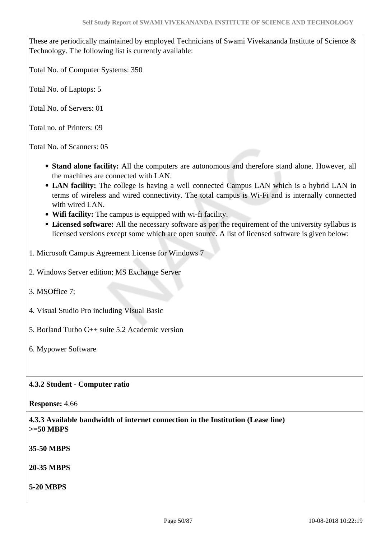These are periodically maintained by employed Technicians of Swami Vivekananda Institute of Science & Technology. The following list is currently available:

Total No. of Computer Systems: 350

Total No. of Laptops: 5

Total No. of Servers: 01

Total no. of Printers: 09

Total No. of Scanners: 05

- **Stand alone facility:** All the computers are autonomous and therefore stand alone. However, all the machines are connected with LAN.
- **LAN facility:** The college is having a well connected Campus LAN which is a hybrid LAN in terms of wireless and wired connectivity. The total campus is Wi-Fi and is internally connected with wired LAN.
- **Wifi facility:** The campus is equipped with wi-fi facility.
- **Licensed software:** All the necessary software as per the requirement of the university syllabus is licensed versions except some which are open source. A list of licensed software is given below:
- 1. Microsoft Campus Agreement License for Windows 7
- 2. Windows Server edition; MS Exchange Server
- 3. MSOffice 7;
- 4. Visual Studio Pro including Visual Basic
- 5. Borland Turbo C++ suite 5.2 Academic version
- 6. Mypower Software

### **4.3.2 Student - Computer ratio**

**Response:** 4.66

 **4.3.3 Available bandwidth of internet connection in the Institution (Lease line) >=50 MBPS**

**35-50 MBPS**

**20-35 MBPS**

**5-20 MBPS**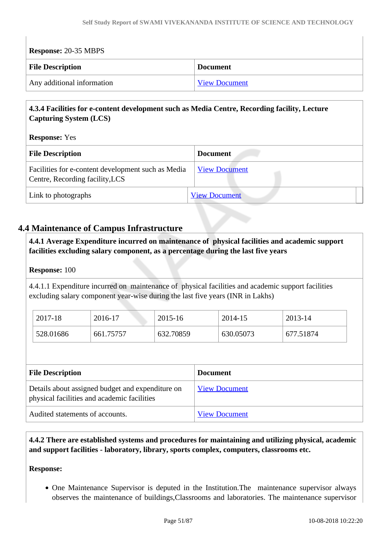| <b>Response: 20-35 MBPS</b> |                      |  |
|-----------------------------|----------------------|--|
| <b>File Description</b>     | <b>Document</b>      |  |
| Any additional information  | <b>View Document</b> |  |

## **4.3.4 Facilities for e-content development such as Media Centre, Recording facility, Lecture Capturing System (LCS)**

| <b>Response:</b> Yes                                                                  |                      |  |  |
|---------------------------------------------------------------------------------------|----------------------|--|--|
| <b>File Description</b>                                                               | <b>Document</b>      |  |  |
| Facilities for e-content development such as Media<br>Centre, Recording facility, LCS | <b>View Document</b> |  |  |
| Link to photographs                                                                   | <b>View Document</b> |  |  |

# **4.4 Maintenance of Campus Infrastructure**

 **4.4.1 Average Expenditure incurred on maintenance of physical facilities and academic support facilities excluding salary component, as a percentage during the last five years**

### **Response:** 100

4.4.1.1 Expenditure incurred on maintenance of physical facilities and academic support facilities excluding salary component year-wise during the last five years (INR in Lakhs)

| 2017-18   | 2016-17   | 2015-16   | 2014-15   | 2013-14   |
|-----------|-----------|-----------|-----------|-----------|
| 528.01686 | 661.75757 | 632.70859 | 630.05073 | 677.51874 |

| <b>File Description</b>                                                                         | <b>Document</b>      |
|-------------------------------------------------------------------------------------------------|----------------------|
| Details about assigned budget and expenditure on<br>physical facilities and academic facilities | <b>View Document</b> |
| Audited statements of accounts.                                                                 | <b>View Document</b> |

 **4.4.2 There are established systems and procedures for maintaining and utilizing physical, academic and support facilities - laboratory, library, sports complex, computers, classrooms etc.**

#### **Response:**

One Maintenance Supervisor is deputed in the Institution.The maintenance supervisor always observes the maintenance of buildings,Classrooms and laboratories. The maintenance supervisor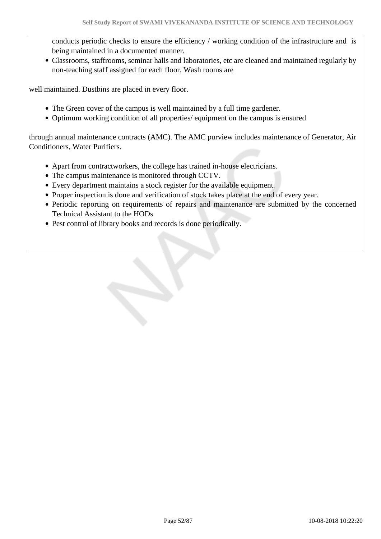conducts periodic checks to ensure the efficiency / working condition of the infrastructure and is being maintained in a documented manner.

Classrooms, staffrooms, seminar halls and laboratories, etc are cleaned and maintained regularly by non-teaching staff assigned for each floor. Wash rooms are

well maintained. Dustbins are placed in every floor.

- The Green cover of the campus is well maintained by a full time gardener.
- Optimum working condition of all properties/ equipment on the campus is ensured

through annual maintenance contracts (AMC). The AMC purview includes maintenance of Generator, Air Conditioners, Water Purifiers.

- Apart from contractworkers, the college has trained in-house electricians.
- The campus maintenance is monitored through CCTV.
- Every department maintains a stock register for the available equipment.
- Proper inspection is done and verification of stock takes place at the end of every year.
- Periodic reporting on requirements of repairs and maintenance are submitted by the concerned Technical Assistant to the HODs
- Pest control of library books and records is done periodically.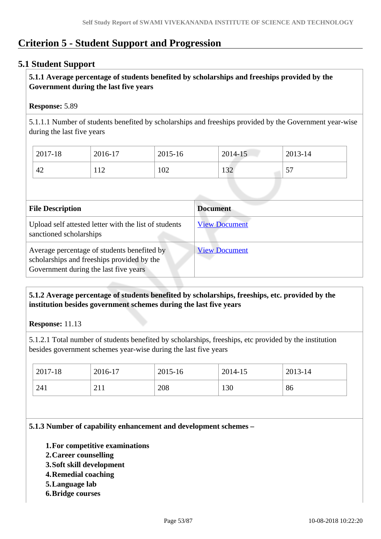# **Criterion 5 - Student Support and Progression**

# **5.1 Student Support**

# **5.1.1 Average percentage of students benefited by scholarships and freeships provided by the Government during the last five years**

### **Response:** 5.89

5.1.1.1 Number of students benefited by scholarships and freeships provided by the Government year-wise during the last five years

| 2017-18 | 2016-17 | 2015-16 | 2014-15 | 2013-14         |
|---------|---------|---------|---------|-----------------|
| 42      | 12      | 102     | 132     | $\epsilon$<br>◡ |

| <b>File Description</b>                                                                                                            | <b>Document</b>      |
|------------------------------------------------------------------------------------------------------------------------------------|----------------------|
| Upload self attested letter with the list of students<br>sanctioned scholarships                                                   | <b>View Document</b> |
| Average percentage of students benefited by<br>scholarships and freeships provided by the<br>Government during the last five years | <b>View Document</b> |

# **5.1.2 Average percentage of students benefited by scholarships, freeships, etc. provided by the institution besides government schemes during the last five years**

**Response:** 11.13

5.1.2.1 Total number of students benefited by scholarships, freeships, etc provided by the institution besides government schemes year-wise during the last five years

| 2017-18 | 2016-17    | 2015-16 | 2014-15 | 2013-14 |
|---------|------------|---------|---------|---------|
| 241     | 211<br>211 | 208     | 130     | 86      |

### **5.1.3 Number of capability enhancement and development schemes –**

- **1.For competitive examinations**
- **2.Career counselling**
- **3.Soft skill development**
- **4.Remedial coaching**
- **5.Language lab**
- **6.Bridge courses**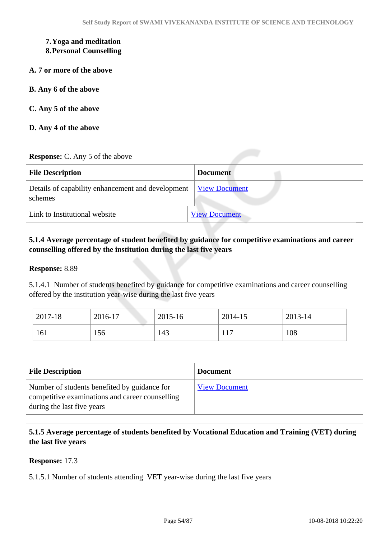#### **7.Yoga and meditation**

#### **8.Personal Counselling**

**A. 7 or more of the above**

### **B. Any 6 of the above**

### **C. Any 5 of the above**

### **D. Any 4 of the above**

#### **Response:** C. Any 5 of the above

| <b>File Description</b>                                      | <b>Document</b>      |
|--------------------------------------------------------------|----------------------|
| Details of capability enhancement and development<br>schemes | <b>View Document</b> |
| Link to Institutional website                                | <b>View Document</b> |

### **5.1.4 Average percentage of student benefited by guidance for competitive examinations and career counselling offered by the institution during the last five years**

#### **Response:** 8.89

5.1.4.1 Number of students benefited by guidance for competitive examinations and career counselling offered by the institution year-wise during the last five years

| 2017-18 | 2016-17 | 2015-16 | 2014-15             | 2013-14 |
|---------|---------|---------|---------------------|---------|
| 161     | 156     | 143     | 117<br>1 1 <i>1</i> | 108     |

| <b>File Description</b>                                                                                                       | <b>Document</b>      |
|-------------------------------------------------------------------------------------------------------------------------------|----------------------|
| Number of students benefited by guidance for<br>competitive examinations and career counselling<br>during the last five years | <b>View Document</b> |

# **5.1.5 Average percentage of students benefited by Vocational Education and Training (VET) during the last five years**

#### **Response:** 17.3

5.1.5.1 Number of students attending VET year-wise during the last five years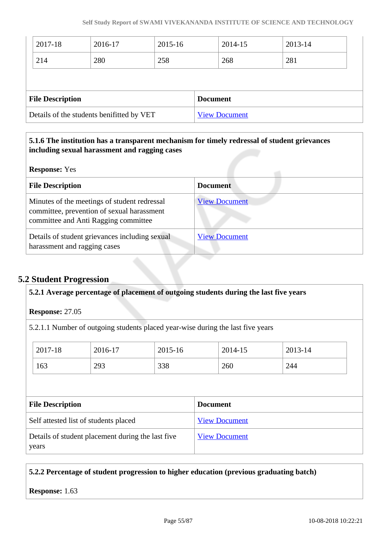| Details of the students benifitted by VET |         |         | <b>View Document</b> |         |  |
|-------------------------------------------|---------|---------|----------------------|---------|--|
| <b>File Description</b>                   |         |         | <b>Document</b>      |         |  |
|                                           |         |         |                      |         |  |
| 214                                       | 280     | 258     | 268                  | 281     |  |
| 2017-18                                   | 2016-17 | 2015-16 | 2014-15              | 2013-14 |  |

# **5.1.6 The institution has a transparent mechanism for timely redressal of student grievances including sexual harassment and ragging cases**

**Response:** Yes

| <b>File Description</b>                                                                                                            | <b>Document</b>      |
|------------------------------------------------------------------------------------------------------------------------------------|----------------------|
| Minutes of the meetings of student redressal<br>committee, prevention of sexual harassment<br>committee and Anti Ragging committee | <b>View Document</b> |
| Details of student grievances including sexual<br>harassment and ragging cases                                                     | <b>View Document</b> |

# **5.2 Student Progression**

|                                       |                                                   |         | 5.2.1 Average percentage of placement of outgoing students during the last five years |         |
|---------------------------------------|---------------------------------------------------|---------|---------------------------------------------------------------------------------------|---------|
| Response: 27.05                       |                                                   |         |                                                                                       |         |
|                                       |                                                   |         | 5.2.1.1 Number of outgoing students placed year-wise during the last five years       |         |
| 2017-18                               | 2016-17                                           | 2015-16 | 2014-15                                                                               | 2013-14 |
| 163                                   | 293                                               | 338     | 260                                                                                   | 244     |
|                                       |                                                   |         |                                                                                       |         |
| <b>File Description</b>               |                                                   |         | <b>Document</b>                                                                       |         |
| Self attested list of students placed |                                                   |         | <b>View Document</b>                                                                  |         |
| years                                 | Details of student placement during the last five |         | <b>View Document</b>                                                                  |         |

### **5.2.2 Percentage of student progression to higher education (previous graduating batch)**

**Response:** 1.63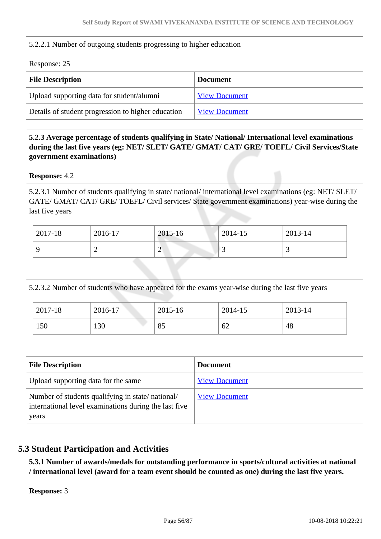| 5.2.2.1 Number of outgoing students progressing to higher education |                      |  |  |  |  |
|---------------------------------------------------------------------|----------------------|--|--|--|--|
| Response: 25                                                        |                      |  |  |  |  |
| <b>File Description</b>                                             | <b>Document</b>      |  |  |  |  |
| Upload supporting data for student/alumni                           | <b>View Document</b> |  |  |  |  |
| Details of student progression to higher education                  | <b>View Document</b> |  |  |  |  |

 **5.2.3 Average percentage of students qualifying in State/ National/ International level examinations during the last five years (eg: NET/ SLET/ GATE/ GMAT/ CAT/ GRE/ TOEFL/ Civil Services/State government examinations)**

**Response:** 4.2

5.2.3.1 Number of students qualifying in state/ national/ international level examinations (eg: NET/ SLET/ GATE/ GMAT/ CAT/ GRE/ TOEFL/ Civil services/ State government examinations) year-wise during the last five years

| 2017-18 | 2016-17 | 2015-16 | 2014-15 | 2013-14 |
|---------|---------|---------|---------|---------|
|         | ∽       | ⌒<br>∼  | ັ       |         |

5.2.3.2 Number of students who have appeared for the exams year-wise during the last five years

| 2017-18 | 2016-17 | 2015-16 | 2014-15 | 2013-14 |
|---------|---------|---------|---------|---------|
| 150     | 130     | 85      | 62      | 48      |

| <b>File Description</b>                                                                                            | <b>Document</b>      |
|--------------------------------------------------------------------------------------------------------------------|----------------------|
| Upload supporting data for the same                                                                                | <b>View Document</b> |
| Number of students qualifying in state/national/<br>international level examinations during the last five<br>years | <b>View Document</b> |

# **5.3 Student Participation and Activities**

 **5.3.1 Number of awards/medals for outstanding performance in sports/cultural activities at national / international level (award for a team event should be counted as one) during the last five years.**

**Response:** 3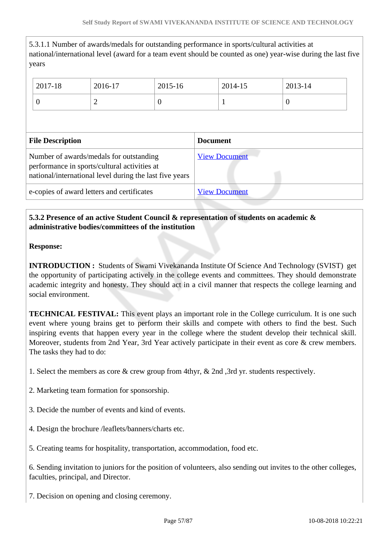5.3.1.1 Number of awards/medals for outstanding performance in sports/cultural activities at national/international level (award for a team event should be counted as one) year-wise during the last five years

| 2017-18                                                                                                                                            | 2016-17        | 2015-16  |                 | 2014-15              | 2013-14  |
|----------------------------------------------------------------------------------------------------------------------------------------------------|----------------|----------|-----------------|----------------------|----------|
| $\theta$                                                                                                                                           | $\overline{2}$ | $\theta$ |                 |                      | $\theta$ |
|                                                                                                                                                    |                |          |                 |                      |          |
| <b>File Description</b>                                                                                                                            |                |          | <b>Document</b> |                      |          |
| Number of awards/medals for outstanding<br>performance in sports/cultural activities at<br>national/international level during the last five years |                |          |                 | <b>View Document</b> |          |
| e-copies of award letters and certificates                                                                                                         |                |          |                 | <b>View Document</b> |          |

# **5.3.2 Presence of an active Student Council & representation of students on academic & administrative bodies/committees of the institution**

#### **Response:**

**INTRODUCTION :** Students of Swami Vivekananda Institute Of Science And Technology (SVIST) get the opportunity of participating actively in the college events and committees. They should demonstrate academic integrity and honesty. They should act in a civil manner that respects the college learning and social environment.

**TECHNICAL FESTIVAL:** This event plays an important role in the College curriculum. It is one such event where young brains get to perform their skills and compete with others to find the best. Such inspiring events that happen every year in the college where the student develop their technical skill. Moreover, students from 2nd Year, 3rd Year actively participate in their event as core & crew members. The tasks they had to do:

- 1. Select the members as core & crew group from 4thyr, & 2nd ,3rd yr. students respectively.
- 2. Marketing team formation for sponsorship.
- 3. Decide the number of events and kind of events.
- 4. Design the brochure /leaflets/banners/charts etc.
- 5. Creating teams for hospitality, transportation, accommodation, food etc.

6. Sending invitation to juniors for the position of volunteers, also sending out invites to the other colleges, faculties, principal, and Director.

7. Decision on opening and closing ceremony.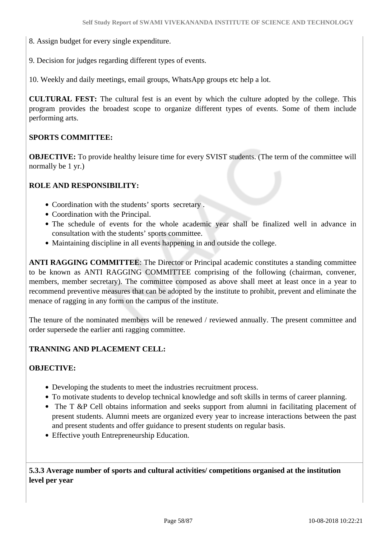- 8. Assign budget for every single expenditure.
- 9. Decision for judges regarding different types of events.
- 10. Weekly and daily meetings, email groups, WhatsApp groups etc help a lot.

**CULTURAL FEST:** The cultural fest is an event by which the culture adopted by the college. This program provides the broadest scope to organize different types of events. Some of them include performing arts.

### **SPORTS COMMITTEE:**

**OBJECTIVE:** To provide healthy leisure time for every SVIST students. (The term of the committee will normally be 1 yr.)

### **ROLE AND RESPONSIBILITY:**

- Coordination with the students' sports secretary.
- Coordination with the Principal.
- The schedule of events for the whole academic year shall be finalized well in advance in consultation with the students' sports committee.
- Maintaining discipline in all events happening in and outside the college.

**ANTI RAGGING COMMITTEE**: The Director or Principal academic constitutes a standing committee to be known as ANTI RAGGING COMMITTEE comprising of the following (chairman, convener, members, member secretary). The committee composed as above shall meet at least once in a year to recommend preventive measures that can be adopted by the institute to prohibit, prevent and eliminate the menace of ragging in any form on the campus of the institute.

The tenure of the nominated members will be renewed / reviewed annually. The present committee and order supersede the earlier anti ragging committee.

#### **TRANNING AND PLACEMENT CELL:**

### **OBJECTIVE:**

- Developing the students to meet the industries recruitment process.
- To motivate students to develop technical knowledge and soft skills in terms of career planning.
- The T &P Cell obtains information and seeks support from alumni in facilitating placement of present students. Alumni meets are organized every year to increase interactions between the past and present students and offer guidance to present students on regular basis.
- Effective youth Entrepreneurship Education.

 **5.3.3 Average number of sports and cultural activities/ competitions organised at the institution level per year**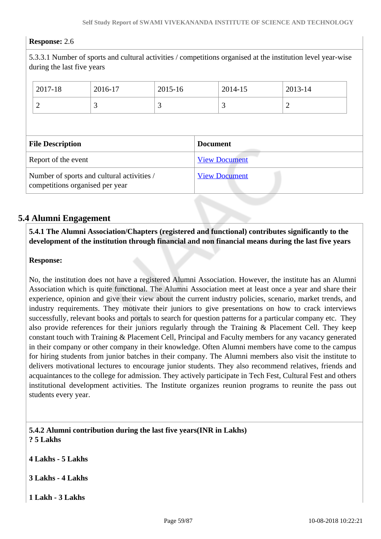### **Response:** 2.6

5.3.3.1 Number of sports and cultural activities / competitions organised at the institution level year-wise during the last five years

|                | 2017-18                 | 2016-17 | 2015-16 |                 | 2014-15              | 2013-14 |  |
|----------------|-------------------------|---------|---------|-----------------|----------------------|---------|--|
| $\overline{2}$ |                         | 3       | 3       |                 | 3                    | 2       |  |
|                |                         |         |         |                 |                      |         |  |
|                |                         |         |         |                 |                      |         |  |
|                | <b>File Description</b> |         |         | <b>Document</b> |                      |         |  |
|                | Report of the event     |         |         |                 | <b>View Document</b> |         |  |

# **5.4 Alumni Engagement**

 **5.4.1 The Alumni Association/Chapters (registered and functional) contributes significantly to the development of the institution through financial and non financial means during the last five years**

#### **Response:**

No, the institution does not have a registered Alumni Association. However, the institute has an Alumni Association which is quite functional. The Alumni Association meet at least once a year and share their experience, opinion and give their view about the current industry policies, scenario, market trends, and industry requirements. They motivate their juniors to give presentations on how to crack interviews successfully, relevant books and portals to search for question patterns for a particular company etc. They also provide references for their juniors regularly through the Training & Placement Cell. They keep constant touch with Training & Placement Cell, Principal and Faculty members for any vacancy generated in their company or other company in their knowledge. Often Alumni members have come to the campus for hiring students from junior batches in their company. The Alumni members also visit the institute to delivers motivational lectures to encourage junior students. They also recommend relatives, friends and acquaintances to the college for admission. They actively participate in Tech Fest, Cultural Fest and others institutional development activities. The Institute organizes reunion programs to reunite the pass out students every year.

 **5.4.2 Alumni contribution during the last five years(INR in Lakhs) ? 5 Lakhs**

**4 Lakhs - 5 Lakhs**

**3 Lakhs - 4 Lakhs**

**1 Lakh - 3 Lakhs**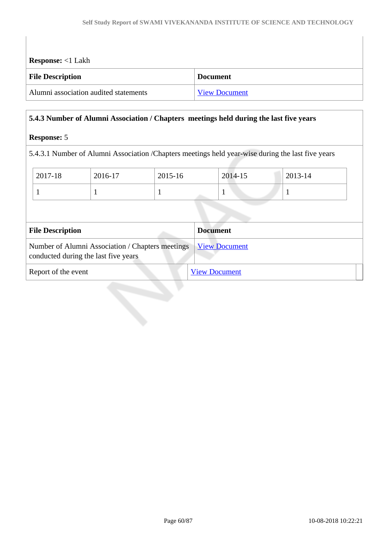| <b>Response:</b> <1 Lakh              |                      |
|---------------------------------------|----------------------|
| <b>File Description</b>               | <b>Document</b>      |
| Alumni association audited statements | <b>View Document</b> |

# **5.4.3 Number of Alumni Association / Chapters meetings held during the last five years**

## **Response:** 5

5.4.3.1 Number of Alumni Association /Chapters meetings held year-wise during the last five years

| 2017-18                              | 2016-17                                          | 2015-16              | 2014-15              | 2013-14 |  |  |  |
|--------------------------------------|--------------------------------------------------|----------------------|----------------------|---------|--|--|--|
|                                      |                                                  |                      |                      |         |  |  |  |
|                                      |                                                  |                      |                      |         |  |  |  |
| <b>File Description</b>              |                                                  |                      | <b>Document</b>      |         |  |  |  |
| conducted during the last five years | Number of Alumni Association / Chapters meetings | <b>View Document</b> |                      |         |  |  |  |
| Report of the event                  |                                                  |                      | <b>View Document</b> |         |  |  |  |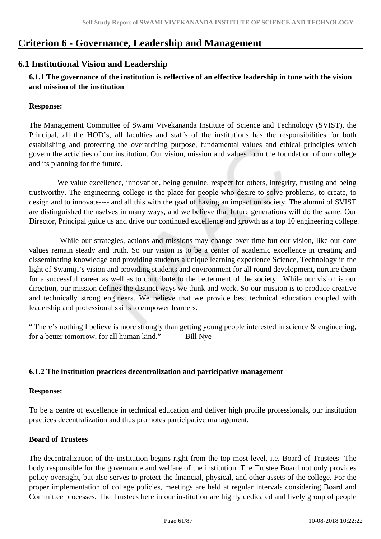# **Criterion 6 - Governance, Leadership and Management**

# **6.1 Institutional Vision and Leadership**

 **6.1.1 The governance of the institution is reflective of an effective leadership in tune with the vision and mission of the institution**

### **Response:**

The Management Committee of Swami Vivekananda Institute of Science and Technology (SVIST), the Principal, all the HOD's, all faculties and staffs of the institutions has the responsibilities for both establishing and protecting the overarching purpose, fundamental values and ethical principles which govern the activities of our institution. Our vision, mission and values form the foundation of our college and its planning for the future.

 We value excellence, innovation, being genuine, respect for others, integrity, trusting and being trustworthy. The engineering college is the place for people who desire to solve problems, to create, to design and to innovate---- and all this with the goal of having an impact on society. The alumni of SVIST are distinguished themselves in many ways, and we believe that future generations will do the same. Our Director, Principal guide us and drive our continued excellence and growth as a top 10 engineering college.

 While our strategies, actions and missions may change over time but our vision, like our core values remain steady and truth. So our vision is to be a center of academic excellence in creating and disseminating knowledge and providing students a unique learning experience Science, Technology in the light of Swamiji's vision and providing students and environment for all round development, nurture them for a successful career as well as to contribute to the betterment of the society. While our vision is our direction, our mission defines the distinct ways we think and work. So our mission is to produce creative and technically strong engineers. We believe that we provide best technical education coupled with leadership and professional skills to empower learners.

" There's nothing I believe is more strongly than getting young people interested in science & engineering, for a better tomorrow, for all human kind." -------- Bill Nye

### **6.1.2 The institution practices decentralization and participative management**

### **Response:**

To be a centre of excellence in technical education and deliver high profile professionals, our institution practices decentralization and thus promotes participative management.

### **Board of Trustees**

The decentralization of the institution begins right from the top most level, i.e. Board of Trustees- The body responsible for the governance and welfare of the institution. The Trustee Board not only provides policy oversight, but also serves to protect the financial, physical, and other assets of the college. For the proper implementation of college policies, meetings are held at regular intervals considering Board and Committee processes. The Trustees here in our institution are highly dedicated and lively group of people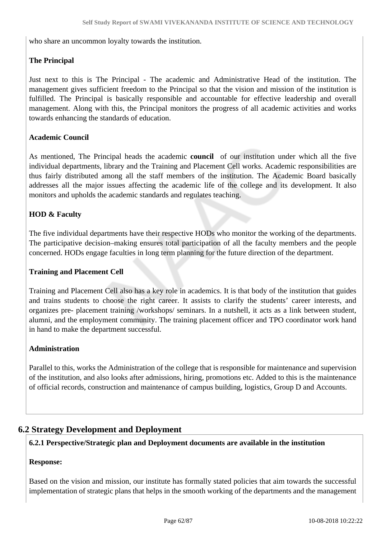who share an uncommon loyalty towards the institution.

# **The Principal**

Just next to this is The Principal - The academic and Administrative Head of the institution. The management gives sufficient freedom to the Principal so that the vision and mission of the institution is fulfilled. The Principal is basically responsible and accountable for effective leadership and overall management. Along with this, the Principal monitors the progress of all academic activities and works towards enhancing the standards of education.

# **Academic Council**

As mentioned, The Principal heads the academic **council** of our institution under which all the five individual departments, library and the Training and Placement Cell works. Academic responsibilities are thus fairly distributed among all the staff members of the institution. The Academic Board basically addresses all the major issues affecting the academic life of the college and its development. It also monitors and upholds the academic standards and regulates teaching.

# **HOD & Faculty**

The five individual departments have their respective HODs who monitor the working of the departments. The participative decision–making ensures total participation of all the faculty members and the people concerned. HODs engage faculties in long term planning for the future direction of the department.

### **Training and Placement Cell**

Training and Placement Cell also has a key role in academics. It is that body of the institution that guides and trains students to choose the right career. It assists to clarify the students' career interests, and organizes pre- placement training /workshops/ seminars. In a nutshell, it acts as a link between student, alumni, and the employment community. The training placement officer and TPO coordinator work hand in hand to make the department successful.

### **Administration**

Parallel to this, works the Administration of the college that is responsible for maintenance and supervision of the institution, and also looks after admissions, hiring, promotions etc. Added to this is the maintenance of official records, construction and maintenance of campus building, logistics, Group D and Accounts.

# **6.2 Strategy Development and Deployment**

### **6.2.1 Perspective/Strategic plan and Deployment documents are available in the institution**

### **Response:**

Based on the vision and mission, our institute has formally stated policies that aim towards the successful implementation of strategic plans that helps in the smooth working of the departments and the management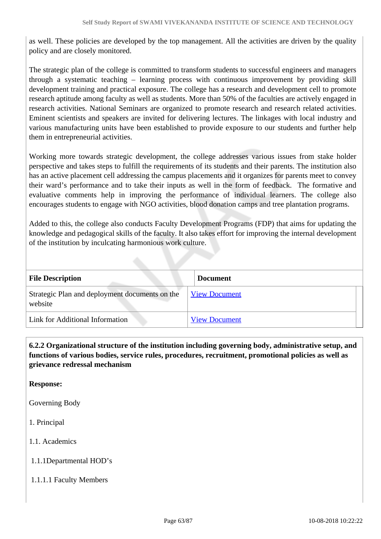as well. These policies are developed by the top management. All the activities are driven by the quality policy and are closely monitored.

The strategic plan of the college is committed to transform students to successful engineers and managers through a systematic teaching – learning process with continuous improvement by providing skill development training and practical exposure. The college has a research and development cell to promote research aptitude among faculty as well as students. More than 50% of the faculties are actively engaged in research activities. National Seminars are organized to promote research and research related activities. Eminent scientists and speakers are invited for delivering lectures. The linkages with local industry and various manufacturing units have been established to provide exposure to our students and further help them in entrepreneurial activities.

Working more towards strategic development, the college addresses various issues from stake holder perspective and takes steps to fulfill the requirements of its students and their parents. The institution also has an active placement cell addressing the campus placements and it organizes for parents meet to convey their ward's performance and to take their inputs as well in the form of feedback. The formative and evaluative comments help in improving the performance of individual learners. The college also encourages students to engage with NGO activities, blood donation camps and tree plantation programs.

Added to this, the college also conducts Faculty Development Programs (FDP) that aims for updating the knowledge and pedagogical skills of the faculty. It also takes effort for improving the internal development of the institution by inculcating harmonious work culture.

| <b>File Description</b>                                   | <b>Document</b>      |  |  |  |
|-----------------------------------------------------------|----------------------|--|--|--|
| Strategic Plan and deployment documents on the<br>website | <b>View Document</b> |  |  |  |
| Link for Additional Information                           | <b>View Document</b> |  |  |  |

 **6.2.2 Organizational structure of the institution including governing body, administrative setup, and functions of various bodies, service rules, procedures, recruitment, promotional policies as well as grievance redressal mechanism**

**Response:** 

Governing Body

1. Principal

1.1. Academics

- 1.1.1Departmental HOD's
- 1.1.1.1 Faculty Members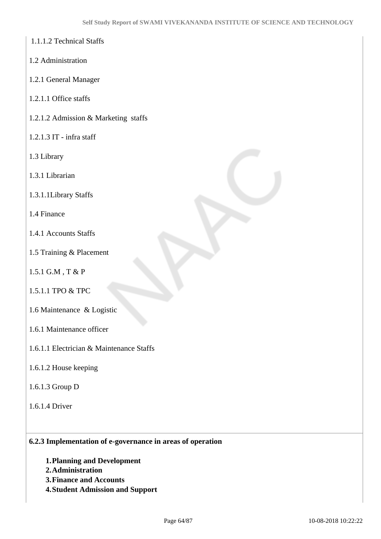- 1.1.1.2 Technical Staffs
- 1.2 Administration
- 1.2.1 General Manager
- 1.2.1.1 Office staffs
- 1.2.1.2 Admission & Marketing staffs
- 1.2.1.3 IT infra staff
- 1.3 Library
- 1.3.1 Librarian
- 1.3.1.1Library Staffs
- 1.4 Finance
- 1.4.1 Accounts Staffs
- 1.5 Training & Placement
- 1.5.1 G.M , T & P
- 1.5.1.1 TPO & TPC
- 1.6 Maintenance & Logistic
- 1.6.1 Maintenance officer
- 1.6.1.1 Electrician & Maintenance Staffs
- 1.6.1.2 House keeping
- 1.6.1.3 Group D
- 1.6.1.4 Driver

### **6.2.3 Implementation of e-governance in areas of operation**

- **1.Planning and Development**
- **2.Administration**
- **3.Finance and Accounts**
- **4.Student Admission and Support**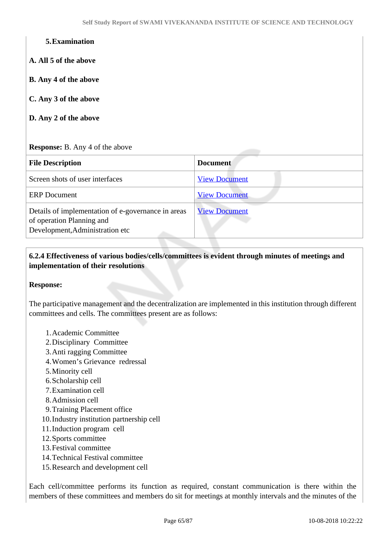### **5.Examination**

- **A. All 5 of the above**
- **B. Any 4 of the above**
- **C. Any 3 of the above**
- **D. Any 2 of the above**

### **Response:** B. Any 4 of the above

| <b>File Description</b>                                                                                            | <b>Document</b>      |
|--------------------------------------------------------------------------------------------------------------------|----------------------|
| Screen shots of user interfaces                                                                                    | <b>View Document</b> |
| <b>ERP</b> Document                                                                                                | <b>View Document</b> |
| Details of implementation of e-governance in areas<br>of operation Planning and<br>Development, Administration etc | <b>View Document</b> |

# **6.2.4 Effectiveness of various bodies/cells/committees is evident through minutes of meetings and implementation of their resolutions**

#### **Response:**

The participative management and the decentralization are implemented in this institution through different committees and cells. The committees present are as follows:

- 1.Academic Committee
- 2.Disciplinary Committee
- 3.Anti ragging Committee
- 4.Women's Grievance redressal
- 5.Minority cell
- 6.Scholarship cell
- 7.Examination cell
- 8.Admission cell
- 9.Training Placement office
- 10.Industry institution partnership cell
- 11.Induction program cell
- 12.Sports committee
- 13.Festival committee
- 14.Technical Festival committee
- 15.Research and development cell

Each cell/committee performs its function as required, constant communication is there within the members of these committees and members do sit for meetings at monthly intervals and the minutes of the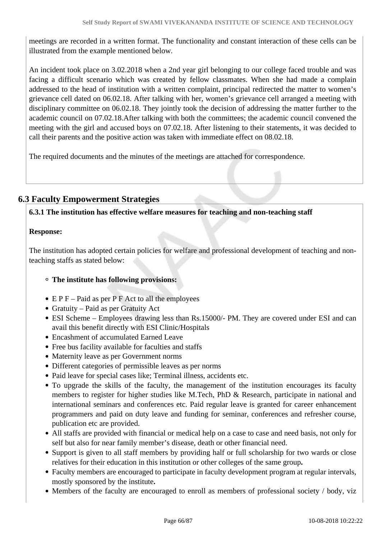meetings are recorded in a written format. The functionality and constant interaction of these cells can be illustrated from the example mentioned below.

An incident took place on 3.02.2018 when a 2nd year girl belonging to our college faced trouble and was facing a difficult scenario which was created by fellow classmates. When she had made a complain addressed to the head of institution with a written complaint, principal redirected the matter to women's grievance cell dated on 06.02.18. After talking with her, women's grievance cell arranged a meeting with disciplinary committee on 06.02.18. They jointly took the decision of addressing the matter further to the academic council on 07.02.18.After talking with both the committees; the academic council convened the meeting with the girl and accused boys on 07.02.18. After listening to their statements, it was decided to call their parents and the positive action was taken with immediate effect on 08.02.18.

The required documents and the minutes of the meetings are attached for correspondence.

# **6.3 Faculty Empowerment Strategies**

**6.3.1 The institution has effective welfare measures for teaching and non-teaching staff**

### **Response:**

The institution has adopted certain policies for welfare and professional development of teaching and nonteaching staffs as stated below:

#### **The institute has following provisions:**

- $\bullet$  E P F Paid as per P F Act to all the employees
- Gratuity Paid as per Gratuity Act
- ESI Scheme Employees drawing less than Rs.15000/- PM. They are covered under ESI and can avail this benefit directly with ESI Clinic/Hospitals
- Encashment of accumulated Earned Leave
- Free bus facility available for faculties and staffs
- Maternity leave as per Government norms
- Different categories of permissible leaves as per norms
- Paid leave for special cases like; Terminal illness, accidents etc.
- To upgrade the skills of the faculty, the management of the institution encourages its faculty members to register for higher studies like M.Tech, PhD & Research, participate in national and international seminars and conferences etc. Paid regular leave is granted for career enhancement programmers and paid on duty leave and funding for seminar, conferences and refresher course, publication etc are provided.
- All staffs are provided with financial or medical help on a case to case and need basis, not only for self but also for near family member's disease, death or other financial need.
- Support is given to all staff members by providing half or full scholarship for two wards or close relatives for their education in this institution or other colleges of the same group**.**
- Faculty members are encouraged to participate in faculty development program at regular intervals, mostly sponsored by the institute**.**
- Members of the faculty are encouraged to enroll as members of professional society / body, viz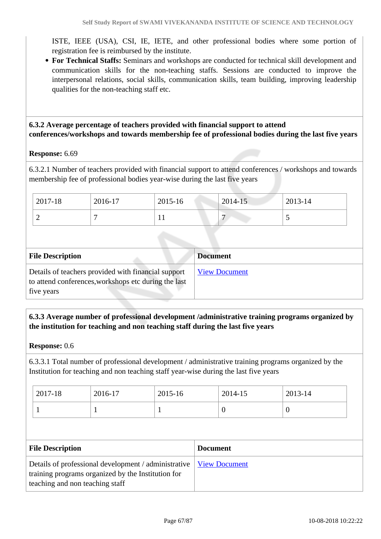ISTE, IEEE (USA), CSI, IE, IETE, and other professional bodies where some portion of registration fee is reimbursed by the institute.

**For Technical Staffs:** Seminars and workshops are conducted for technical skill development and communication skills for the non-teaching staffs. Sessions are conducted to improve the interpersonal relations, social skills, communication skills, team building, improving leadership qualities for the non-teaching staff etc.

# **6.3.2 Average percentage of teachers provided with financial support to attend conferences/workshops and towards membership fee of professional bodies during the last five years**

### **Response:** 6.69

6.3.2.1 Number of teachers provided with financial support to attend conferences / workshops and towards membership fee of professional bodies year-wise during the last five years

| 2017-18 | 2016-17 | $2015 - 16$ | $2014 - 15$ | 2013-14 |
|---------|---------|-------------|-------------|---------|
|         |         | <b>TT</b>   |             | ັ       |

| <b>File Description</b>                                                                                                   | <b>Document</b>      |
|---------------------------------------------------------------------------------------------------------------------------|----------------------|
| Details of teachers provided with financial support<br>to attend conferences, workshops etc during the last<br>five years | <b>View Document</b> |

# **6.3.3 Average number of professional development /administrative training programs organized by the institution for teaching and non teaching staff during the last five years**

### **Response:** 0.6

6.3.3.1 Total number of professional development / administrative training programs organized by the Institution for teaching and non teaching staff year-wise during the last five years

| 2017-18 | 2016-17 | 2015-16 | 2014-15 | 2013-14 |
|---------|---------|---------|---------|---------|
|         |         |         |         | ິ       |

| <b>File Description</b>                                                                                                                                              | <b>Document</b> |
|----------------------------------------------------------------------------------------------------------------------------------------------------------------------|-----------------|
| Details of professional development / administrative   <u>View Document</u><br>training programs organized by the Institution for<br>teaching and non teaching staff |                 |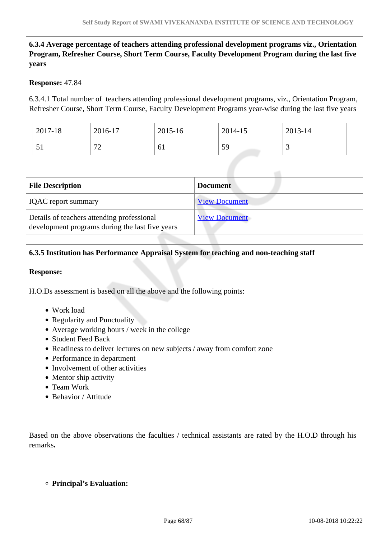**6.3.4 Average percentage of teachers attending professional development programs viz., Orientation Program, Refresher Course, Short Term Course, Faculty Development Program during the last five years**

### **Response:** 47.84

6.3.4.1 Total number of teachers attending professional development programs, viz., Orientation Program, Refresher Course, Short Term Course, Faculty Development Programs year-wise during the last five years

| 2017-18 | 2016-17                       | $2015 - 16$ | 2014-15 | 2013-14                  |
|---------|-------------------------------|-------------|---------|--------------------------|
| ◡▴      | $\overline{\phantom{a}}$<br>∼ | -61         | 59      | $\overline{\phantom{0}}$ |

| <b>File Description</b>                                                                       | <b>Document</b>      |
|-----------------------------------------------------------------------------------------------|----------------------|
| <b>IQAC</b> report summary                                                                    | <b>View Document</b> |
| Details of teachers attending professional<br>development programs during the last five years | <b>View Document</b> |

### **6.3.5 Institution has Performance Appraisal System for teaching and non-teaching staff**

#### **Response:**

H.O.Ds assessment is based on all the above and the following points:

- Work load
- Regularity and Punctuality
- Average working hours / week in the college
- Student Feed Back
- Readiness to deliver lectures on new subjects / away from comfort zone
- Performance in department
- Involvement of other activities
- Mentor ship activity
- Team Work
- Behavior / Attitude

Based on the above observations the faculties / technical assistants are rated by the H.O.D through his remarks**.**

**Principal's Evaluation:**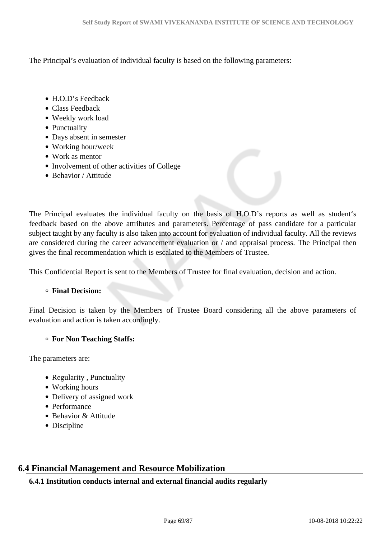The Principal's evaluation of individual faculty is based on the following parameters:

- H.O.D's Feedback
- Class Feedback
- Weekly work load
- Punctuality
- Days absent in semester
- Working hour/week
- Work as mentor
- Involvement of other activities of College
- Behavior / Attitude

The Principal evaluates the individual faculty on the basis of H.O.D's reports as well as student's feedback based on the above attributes and parameters. Percentage of pass candidate for a particular subject taught by any faculty is also taken into account for evaluation of individual faculty. All the reviews are considered during the career advancement evaluation or / and appraisal process. The Principal then gives the final recommendation which is escalated to the Members of Trustee.

This Confidential Report is sent to the Members of Trustee for final evaluation, decision and action.

### **Final Decision:**

Final Decision is taken by the Members of Trustee Board considering all the above parameters of evaluation and action is taken accordingly.

### **For Non Teaching Staffs:**

The parameters are:

- Regularity, Punctuality
- Working hours
- Delivery of assigned work
- Performance
- Behavior & Attitude
- Discipline

# **6.4 Financial Management and Resource Mobilization**

**6.4.1 Institution conducts internal and external financial audits regularly**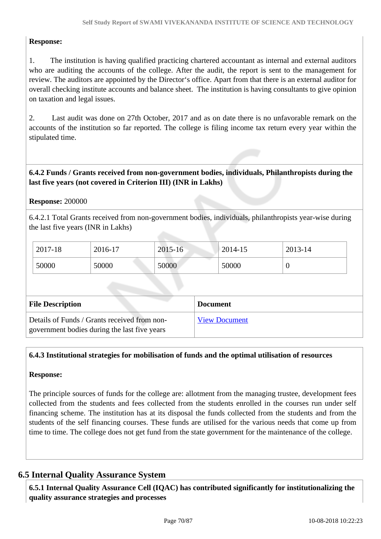# **Response:**

1. The institution is having qualified practicing chartered accountant as internal and external auditors who are auditing the accounts of the college. After the audit, the report is sent to the management for review. The auditors are appointed by the Director's office. Apart from that there is an external auditor for overall checking institute accounts and balance sheet. The institution is having consultants to give opinion on taxation and legal issues.

2. Last audit was done on 27th October, 2017 and as on date there is no unfavorable remark on the accounts of the institution so far reported. The college is filing income tax return every year within the stipulated time.

# **6.4.2 Funds / Grants received from non-government bodies, individuals, Philanthropists during the last five years (not covered in Criterion III) (INR in Lakhs)**

### **Response:** 200000

6.4.2.1 Total Grants received from non-government bodies, individuals, philanthropists year-wise during the last five years (INR in Lakhs)

| 2017-18 | 2016-17 | 2015-16 | 2014-15 | 2013-14 |
|---------|---------|---------|---------|---------|
| 50000   | 50000   | 50000   | 50000   | ν       |

| <b>File Description</b>                                                                      | <b>Document</b>      |
|----------------------------------------------------------------------------------------------|----------------------|
| Details of Funds / Grants received from non-<br>government bodies during the last five years | <b>View Document</b> |

### **6.4.3 Institutional strategies for mobilisation of funds and the optimal utilisation of resources**

### **Response:**

The principle sources of funds for the college are: allotment from the managing trustee, development fees collected from the students and fees collected from the students enrolled in the courses run under self financing scheme. The institution has at its disposal the funds collected from the students and from the students of the self financing courses. These funds are utilised for the various needs that come up from time to time. The college does not get fund from the state government for the maintenance of the college.

# **6.5 Internal Quality Assurance System**

 **6.5.1 Internal Quality Assurance Cell (IQAC) has contributed significantly for institutionalizing the quality assurance strategies and processes**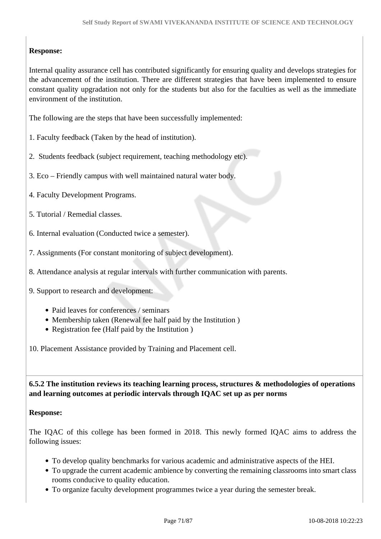# **Response:**

Internal quality assurance cell has contributed significantly for ensuring quality and develops strategies for the advancement of the institution. There are different strategies that have been implemented to ensure constant quality upgradation not only for the students but also for the faculties as well as the immediate environment of the institution.

The following are the steps that have been successfully implemented:

- 1. Faculty feedback (Taken by the head of institution).
- 2. Students feedback (subject requirement, teaching methodology etc).
- 3. Eco Friendly campus with well maintained natural water body.
- 4. Faculty Development Programs.
- 5. Tutorial / Remedial classes.
- 6. Internal evaluation (Conducted twice a semester).
- 7. Assignments (For constant monitoring of subject development).
- 8. Attendance analysis at regular intervals with further communication with parents.
- 9. Support to research and development:
	- Paid leaves for conferences / seminars
	- Membership taken (Renewal fee half paid by the Institution)
	- Registration fee (Half paid by the Institution)

10. Placement Assistance provided by Training and Placement cell.

 **6.5.2 The institution reviews its teaching learning process, structures & methodologies of operations and learning outcomes at periodic intervals through IQAC set up as per norms**

### **Response:**

The IQAC of this college has been formed in 2018. This newly formed IQAC aims to address the following issues:

- To develop quality benchmarks for various academic and administrative aspects of the HEI.
- To upgrade the current academic ambience by converting the remaining classrooms into smart class rooms conducive to quality education.
- To organize faculty development programmes twice a year during the semester break.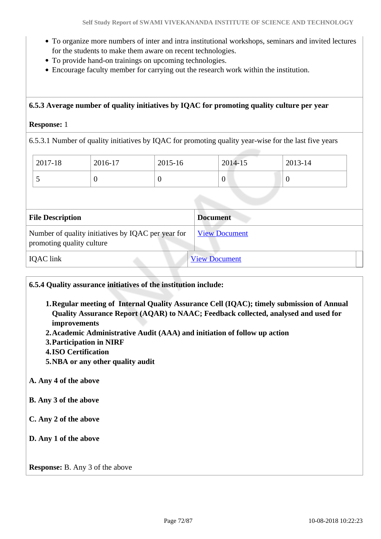- To organize more numbers of inter and intra institutional workshops, seminars and invited lectures for the students to make them aware on recent technologies.
- To provide hand-on trainings on upcoming technologies.
- Encourage faculty member for carrying out the research work within the institution.

### **6.5.3 Average number of quality initiatives by IQAC for promoting quality culture per year**

#### **Response:** 1

6.5.3.1 Number of quality initiatives by IQAC for promoting quality year-wise for the last five years

| 2017-18 | 2016-17 | 2015-16 | 2014-15 | 2013-14 |
|---------|---------|---------|---------|---------|
| .       | ν       |         | ν       | ν       |

| <b>File Description</b>                                                         | <b>Document</b>      |
|---------------------------------------------------------------------------------|----------------------|
| Number of quality initiatives by IQAC per year for<br>promoting quality culture | <b>View Document</b> |
| <b>IQAC</b> link                                                                | <b>View Document</b> |

#### **6.5.4 Quality assurance initiatives of the institution include:**

- **1.Regular meeting of Internal Quality Assurance Cell (IQAC); timely submission of Annual Quality Assurance Report (AQAR) to NAAC; Feedback collected, analysed and used for improvements**
- **2.Academic Administrative Audit (AAA) and initiation of follow up action**
- **3.Participation in NIRF**
- **4.ISO Certification**
- **5.NBA or any other quality audit**

#### **A. Any 4 of the above**

- **B. Any 3 of the above**
- **C. Any 2 of the above**
- **D. Any 1 of the above**

**Response:** B. Any 3 of the above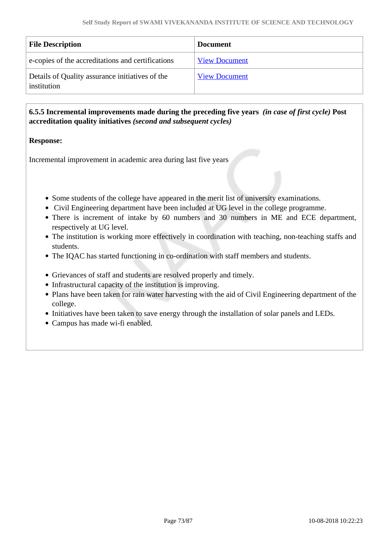| <b>File Description</b>                                        | <b>Document</b>      |
|----------------------------------------------------------------|----------------------|
| e-copies of the accreditations and certifications              | <b>View Document</b> |
| Details of Quality assurance initiatives of the<br>institution | <b>View Document</b> |

### **6.5.5 Incremental improvements made during the preceding five years** *(in case of first cycle)* **Post accreditation quality initiatives** *(second and subsequent cycles)*

### **Response:**

Incremental improvement in academic area during last five years

- Some students of the college have appeared in the merit list of university examinations.
- Civil Engineering department have been included at UG level in the college programme.
- There is increment of intake by 60 numbers and 30 numbers in ME and ECE department, respectively at UG level.
- The institution is working more effectively in coordination with teaching, non-teaching staffs and students.
- The IQAC has started functioning in co-ordination with staff members and students.
- Grievances of staff and students are resolved properly and timely.
- Infrastructural capacity of the institution is improving.
- Plans have been taken for rain water harvesting with the aid of Civil Engineering department of the college.
- Initiatives have been taken to save energy through the installation of solar panels and LEDs.
- Campus has made wi-fi enabled.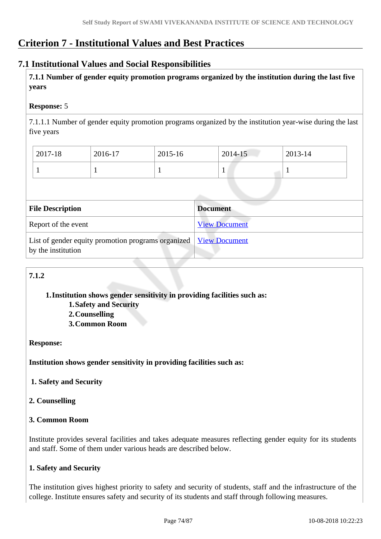# **Criterion 7 - Institutional Values and Best Practices**

### **7.1 Institutional Values and Social Responsibilities**

 **7.1.1 Number of gender equity promotion programs organized by the institution during the last five years** 

### **Response:** 5

7.1.1.1 Number of gender equity promotion programs organized by the institution year-wise during the last five years

| 2017-18 | 2016-17 | 2015-16 | $2014 - 15$ | $2013 - 14$ |
|---------|---------|---------|-------------|-------------|
|         |         |         |             |             |

| <b>File Description</b>                                                                       | <b>Document</b>      |
|-----------------------------------------------------------------------------------------------|----------------------|
| Report of the event                                                                           | <b>View Document</b> |
| List of gender equity promotion programs organized <u>View Document</u><br>by the institution |                      |

### **7.1.2**

### **1.Institution shows gender sensitivity in providing facilities such as:**

**1.Safety and Security 2.Counselling**

**3.Common Room**

### **Response:**

**Institution shows gender sensitivity in providing facilities such as:**

 **1. Safety and Security**

### **2. Counselling**

### **3. Common Room**

Institute provides several facilities and takes adequate measures reflecting gender equity for its students and staff. Some of them under various heads are described below.

### **1. Safety and Security**

The institution gives highest priority to safety and security of students, staff and the infrastructure of the college. Institute ensures safety and security of its students and staff through following measures.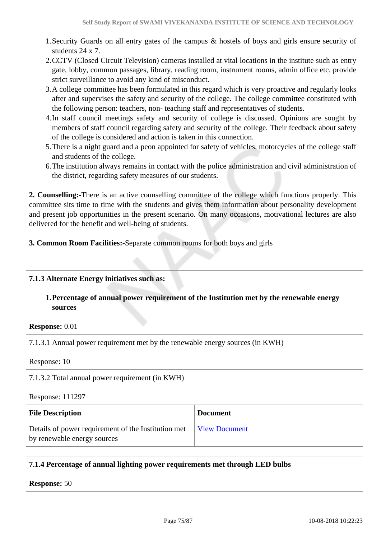- 1.Security Guards on all entry gates of the campus & hostels of boys and girls ensure security of students 24 x 7.
- 2.CCTV (Closed Circuit Television) cameras installed at vital locations in the institute such as entry gate, lobby, common passages, library, reading room, instrument rooms, admin office etc. provide strict surveillance to avoid any kind of misconduct.
- 3.A college committee has been formulated in this regard which is very proactive and regularly looks after and supervises the safety and security of the college. The college committee constituted with the following person: teachers, non- teaching staff and representatives of students.
- 4.In staff council meetings safety and security of college is discussed. Opinions are sought by members of staff council regarding safety and security of the college. Their feedback about safety of the college is considered and action is taken in this connection.
- 5.There is a night guard and a peon appointed for safety of vehicles, motorcycles of the college staff and students of the college.
- 6.The institution always remains in contact with the police administration and civil administration of the district, regarding safety measures of our students.

**2. Counselling:-**There is an active counselling committee of the college which functions properly. This committee sits time to time with the students and gives them information about personality development and present job opportunities in the present scenario. On many occasions, motivational lectures are also delivered for the benefit and well-being of students.

**3. Common Room Facilities:-**Separate common rooms for both boys and girls

### **7.1.3 Alternate Energy initiatives such as:**

### **1.Percentage of annual power requirement of the Institution met by the renewable energy sources**

**Response:** 0.01

7.1.3.1 Annual power requirement met by the renewable energy sources (in KWH)

Response: 10

7.1.3.2 Total annual power requirement (in KWH)

Response: 111297

| <b>File Description</b>                                                            | <b>Document</b> |
|------------------------------------------------------------------------------------|-----------------|
| Details of power requirement of the Institution met<br>by renewable energy sources | View Document   |

### **7.1.4 Percentage of annual lighting power requirements met through LED bulbs**

**Response:** 50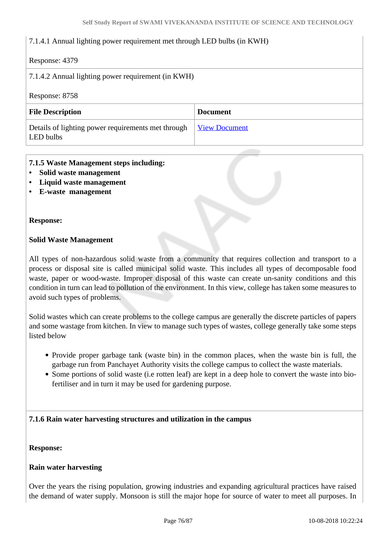### 7.1.4.1 Annual lighting power requirement met through LED bulbs (in KWH)

### Response: 4379

| 7.1.4.2 Annual lighting power requirement (in KWH)              |                      |
|-----------------------------------------------------------------|----------------------|
| Response: 8758                                                  |                      |
| <b>File Description</b>                                         | <b>Document</b>      |
| Details of lighting power requirements met through<br>LED bulbs | <b>View Document</b> |

### **7.1.5 Waste Management steps including:**

- **Solid waste management**
- **Liquid waste management**
- **E-waste management**

### **Response:**

### **Solid Waste Management**

All types of non-hazardous solid waste from a community that requires collection and transport to a process or disposal site is called municipal solid waste. This includes all types of decomposable food waste, paper or wood-waste. Improper disposal of this waste can create un-sanity conditions and this condition in turn can lead to pollution of the environment. In this view, college has taken some measures to avoid such types of problems.

Solid wastes which can create problems to the college campus are generally the discrete particles of papers and some wastage from kitchen. In view to manage such types of wastes, college generally take some steps listed below

- Provide proper garbage tank (waste bin) in the common places, when the waste bin is full, the garbage run from Panchayet Authority visits the college campus to collect the waste materials.
- Some portions of solid waste (i.e rotten leaf) are kept in a deep hole to convert the waste into biofertiliser and in turn it may be used for gardening purpose.

### **7.1.6 Rain water harvesting structures and utilization in the campus**

### **Response:**

### **Rain water harvesting**

Over the years the rising population, growing industries and expanding agricultural practices have raised the demand of water supply. Monsoon is still the major hope for source of water to meet all purposes. In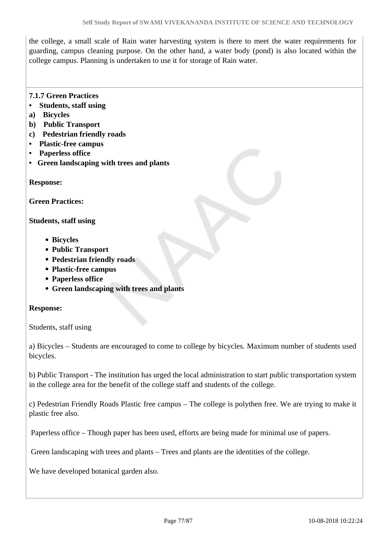the college, a small scale of Rain water harvesting system is there to meet the water requirements for guarding, campus cleaning purpose. On the other hand, a water body (pond) is also located within the college campus. Planning is undertaken to use it for storage of Rain water.

### **7.1.7 Green Practices**

- **Students, staff using**
- **a) Bicycles**
- **b) Public Transport**
- **c) Pedestrian friendly roads**
- **Plastic-free campus**
- **Paperless office**
- **Green landscaping with trees and plants**

**Response:** 

**Green Practices:**

**Students, staff using**

- **Bicycles**
- **Public Transport**
- **Pedestrian friendly roads**
- **Plastic-free campus**
- **Paperless office**
- **Green landscaping with trees and plants**

### **Response:**

Students, staff using

a) Bicycles – Students are encouraged to come to college by bicycles. Maximum number of students used bicycles.

b) Public Transport - The institution has urged the local administration to start public transportation system in the college area for the benefit of the college staff and students of the college.

c) Pedestrian Friendly Roads Plastic free campus – The college is polythen free. We are trying to make it plastic free also.

Paperless office – Though paper has been used, efforts are being made for minimal use of papers.

Green landscaping with trees and plants – Trees and plants are the identities of the college.

We have developed botanical garden also.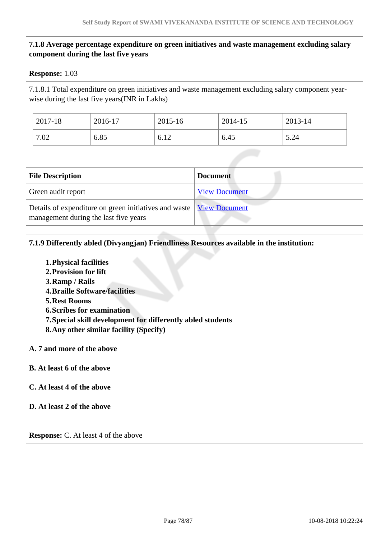### **7.1.8 Average percentage expenditure on green initiatives and waste management excluding salary component during the last five years**

### **Response:** 1.03

7.1.8.1 Total expenditure on green initiatives and waste management excluding salary component yearwise during the last five years(INR in Lakhs)

| 2017-18 | 2016-17 | 2015-16          | 2014-15 | 2013-14 |
|---------|---------|------------------|---------|---------|
| 7.02    | 6.85    | $1 \cap$<br>0.12 | 6.45    | 5.24    |

| <b>File Description</b>                                                                                        | <b>Document</b>      |
|----------------------------------------------------------------------------------------------------------------|----------------------|
| Green audit report                                                                                             | <b>View Document</b> |
| Details of expenditure on green initiatives and waste   View Document<br>management during the last five years |                      |

### **7.1.9 Differently abled (Divyangjan) Friendliness Resources available in the institution:**

- **1.Physical facilities**
- **2.Provision for lift**
- **3.Ramp / Rails**
- **4.Braille Software/facilities**
- **5.Rest Rooms**
- **6.Scribes for examination**
- **7.Special skill development for differently abled students**
- **8.Any other similar facility (Specify)**
- **A. 7 and more of the above**
- **B. At least 6 of the above**
- **C. At least 4 of the above**

### **D. At least 2 of the above**

**Response:** C. At least 4 of the above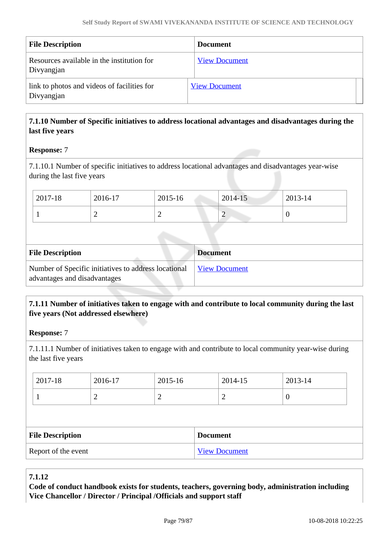| <b>File Description</b>                                   | <b>Document</b>      |
|-----------------------------------------------------------|----------------------|
| Resources available in the institution for<br>Divyangjan  | <b>View Document</b> |
| link to photos and videos of facilities for<br>Divyangjan | <b>View Document</b> |

### **7.1.10 Number of Specific initiatives to address locational advantages and disadvantages during the last five years**

### **Response:** 7

7.1.10.1 Number of specific initiatives to address locational advantages and disadvantages year-wise during the last five years

| 2017-18 | 2016-17 | 2015-16 | 2014-15 | 2013-14 |
|---------|---------|---------|---------|---------|
|         | ∼       | ∼       | ∼       | ◡       |

| <b>File Description</b>                                                              | <b>Document</b>      |
|--------------------------------------------------------------------------------------|----------------------|
| Number of Specific initiatives to address locational<br>advantages and disadvantages | <b>View Document</b> |

### **7.1.11 Number of initiatives taken to engage with and contribute to local community during the last five years (Not addressed elsewhere)**

**Response:** 7

7.1.11.1 Number of initiatives taken to engage with and contribute to local community year-wise during the last five years

| 2017-18 | 2016-17 | 2015-16 | 2014-15 | 2013-14 |
|---------|---------|---------|---------|---------|
|         |         | ∽       | -       |         |

| <b>File Description</b> | <b>Document</b>      |
|-------------------------|----------------------|
| Report of the event     | <b>View Document</b> |

### **7.1.12**

**Code of conduct handbook exists for students, teachers, governing body, administration including Vice Chancellor / Director / Principal /Officials and support staff**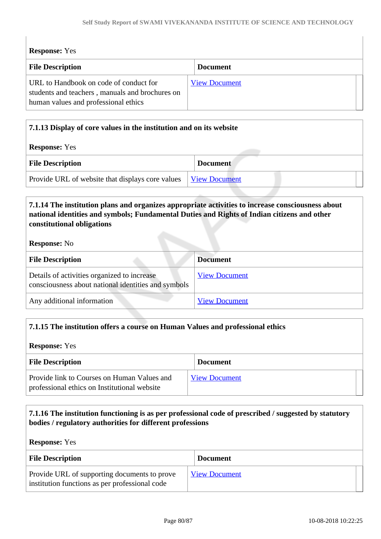| <b>Response:</b> Yes                                                                                                              |                      |  |  |
|-----------------------------------------------------------------------------------------------------------------------------------|----------------------|--|--|
| <b>File Description</b>                                                                                                           | <b>Document</b>      |  |  |
| URL to Handbook on code of conduct for<br>students and teachers, manuals and brochures on<br>human values and professional ethics | <b>View Document</b> |  |  |

# **7.1.13 Display of core values in the institution and on its website Response:** Yes **File Description Document** Provide URL of website that displays core values [View Document](www.svist.org/NAAC/Core Values)

### **7.1.14 The institution plans and organizes appropriate activities to increase consciousness about national identities and symbols; Fundamental Duties and Rights of Indian citizens and other constitutional obligations**

### **Response:** No

 $\begin{array}{c} \hline \end{array}$ 

| <b>File Description</b>                                                                            | <b>Document</b>      |
|----------------------------------------------------------------------------------------------------|----------------------|
| Details of activities organized to increase<br>consciousness about national identities and symbols | <b>View Document</b> |
| Any additional information                                                                         | <b>View Document</b> |

### **7.1.15 The institution offers a course on Human Values and professional ethics**

| <b>Response:</b> Yes                                                                        |  |                      |  |
|---------------------------------------------------------------------------------------------|--|----------------------|--|
| <b>File Description</b>                                                                     |  | <b>Document</b>      |  |
| Provide link to Courses on Human Values and<br>professional ethics on Institutional website |  | <b>View Document</b> |  |

### **7.1.16 The institution functioning is as per professional code of prescribed / suggested by statutory bodies / regulatory authorities for different professions**

**Response:** Yes

| <b>File Description</b>                                                                        | <b>Document</b>      |
|------------------------------------------------------------------------------------------------|----------------------|
| Provide URL of supporting documents to prove<br>institution functions as per professional code | <b>View Document</b> |

 $\begin{array}{c} \hline \end{array}$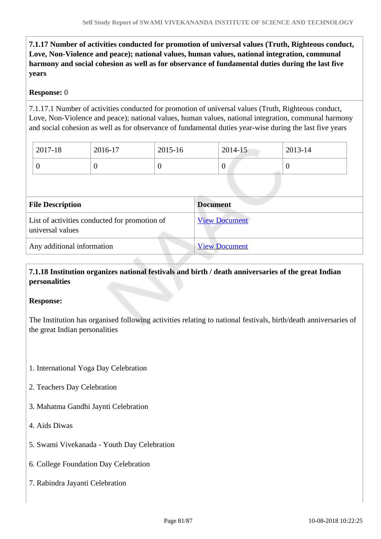**7.1.17 Number of activities conducted for promotion of universal values (Truth, Righteous conduct, Love, Non-Violence and peace); national values, human values, national integration, communal harmony and social cohesion as well as for observance of fundamental duties during the last five years**

### **Response:** 0

7.1.17.1 Number of activities conducted for promotion of universal values (Truth, Righteous conduct, Love, Non-Violence and peace); national values, human values, national integration, communal harmony and social cohesion as well as for observance of fundamental duties year-wise during the last five years

| 2017-18 | 2016-17 | 2015-16 | $2014 - 15$ | $2013 - 14$ |
|---------|---------|---------|-------------|-------------|
|         |         |         | ν           | U           |

| <b>File Description</b>                                           | <b>Document</b>      |
|-------------------------------------------------------------------|----------------------|
| List of activities conducted for promotion of<br>universal values | <b>View Document</b> |
| Any additional information                                        | <b>View Document</b> |

### **7.1.18 Institution organizes national festivals and birth / death anniversaries of the great Indian personalities**

### **Response:**

The Institution has organised following activities relating to national festivals, birth/death anniversaries of the great Indian personalities

- 1. International Yoga Day Celebration
- 2. Teachers Day Celebration
- 3. Mahatma Gandhi Jaynti Celebration
- 4. Aids Diwas
- 5. Swami Vivekanada Youth Day Celebration
- 6. College Foundation Day Celebration
- 7. Rabindra Jayanti Celebration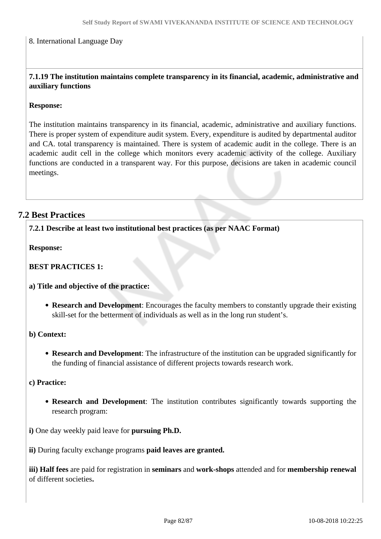### 8. International Language Day

### **7.1.19 The institution maintains complete transparency in its financial, academic, administrative and auxiliary functions**

### **Response:**

The institution maintains transparency in its financial, academic, administrative and auxiliary functions. There is proper system of expenditure audit system. Every, expenditure is audited by departmental auditor and CA. total transparency is maintained. There is system of academic audit in the college. There is an academic audit cell in the college which monitors every academic activity of the college. Auxiliary functions are conducted in a transparent way. For this purpose, decisions are taken in academic council meetings.

### **7.2 Best Practices**

**7.2.1 Describe at least two institutional best practices (as per NAAC Format)**

**Response:** 

### **BEST PRACTICES 1:**

- **a) Title and objective of the practice:** 
	- **Research and Development**: Encourages the faculty members to constantly upgrade their existing skill-set for the betterment of individuals as well as in the long run student's.

### **b) Context:**

**Research and Development**: The infrastructure of the institution can be upgraded significantly for the funding of financial assistance of different projects towards research work.

### **c) Practice:**

**Research and Development**: The institution contributes significantly towards supporting the research program:

**i)** One day weekly paid leave for **pursuing Ph.D.**

**ii)** During faculty exchange programs **paid leaves are granted.**

**iii) Half fees** are paid for registration in **seminars** and **work-shops** attended and for **membership renewal** of different societies**.**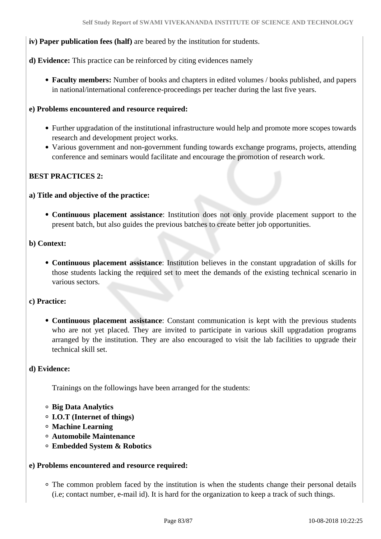### **iv) Paper publication fees (half)** are beared by the institution for students.

- **d) Evidence:** This practice can be reinforced by citing evidences namely
	- **Faculty members:** Number of books and chapters in edited volumes / books published, and papers in national/international conference-proceedings per teacher during the last five years.

### **e) Problems encountered and resource required:**

- Further upgradation of the institutional infrastructure would help and promote more scopes towards research and development project works.
- Various government and non-government funding towards exchange programs, projects, attending conference and seminars would facilitate and encourage the promotion of research work.

### **BEST PRACTICES 2:**

### **a) Title and objective of the practice:**

**Continuous placement assistance**: Institution does not only provide placement support to the present batch, but also guides the previous batches to create better job opportunities.

### **b) Context:**

**Continuous placement assistance**: Institution believes in the constant upgradation of skills for those students lacking the required set to meet the demands of the existing technical scenario in various sectors.

### **c) Practice:**

**Continuous placement assistance**: Constant communication is kept with the previous students who are not yet placed. They are invited to participate in various skill upgradation programs arranged by the institution. They are also encouraged to visit the lab facilities to upgrade their technical skill set.

### **d) Evidence:**

Trainings on the followings have been arranged for the students:

- **Big Data Analytics**
- **I.O.T (Internet of things)**
- **Machine Learning**
- **Automobile Maintenance**
- **Embedded System & Robotics**

### **e) Problems encountered and resource required:**

The common problem faced by the institution is when the students change their personal details (i.e; contact number, e-mail id). It is hard for the organization to keep a track of such things.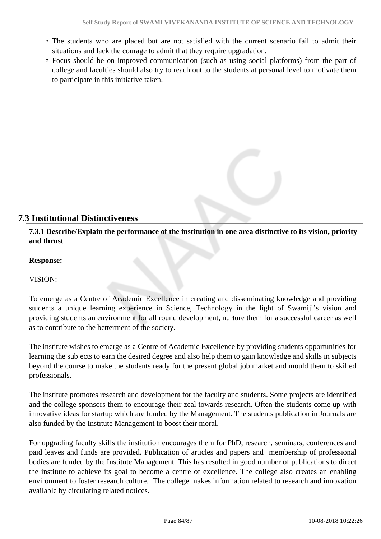- The students who are placed but are not satisfied with the current scenario fail to admit their situations and lack the courage to admit that they require upgradation.
- Focus should be on improved communication (such as using social platforms) from the part of college and faculties should also try to reach out to the students at personal level to motivate them to participate in this initiative taken.

### **7.3 Institutional Distinctiveness**

 **7.3.1 Describe/Explain the performance of the institution in one area distinctive to its vision, priority and thrust**

**Response:** 

VISION:

To emerge as a Centre of Academic Excellence in creating and disseminating knowledge and providing students a unique learning experience in Science, Technology in the light of Swamiji's vision and providing students an environment for all round development, nurture them for a successful career as well as to contribute to the betterment of the society.

The institute wishes to emerge as a Centre of Academic Excellence by providing students opportunities for learning the subjects to earn the desired degree and also help them to gain knowledge and skills in subjects beyond the course to make the students ready for the present global job market and mould them to skilled professionals.

The institute promotes research and development for the faculty and students. Some projects are identified and the college sponsors them to encourage their zeal towards research. Often the students come up with innovative ideas for startup which are funded by the Management. The students publication in Journals are also funded by the Institute Management to boost their moral.

For upgrading faculty skills the institution encourages them for PhD, research, seminars, conferences and paid leaves and funds are provided. Publication of articles and papers and membership of professional bodies are funded by the Institute Management. This has resulted in good number of publications to direct the institute to achieve its goal to become a centre of excellence. The college also creates an enabling environment to foster research culture. The college makes information related to research and innovation available by circulating related notices.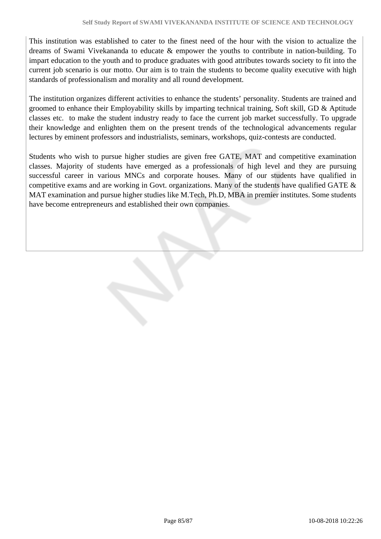This institution was established to cater to the finest need of the hour with the vision to actualize the dreams of Swami Vivekananda to educate & empower the youths to contribute in nation-building. To impart education to the youth and to produce graduates with good attributes towards society to fit into the current job scenario is our motto. Our aim is to train the students to become quality executive with high standards of professionalism and morality and all round development.

The institution organizes different activities to enhance the students' personality. Students are trained and groomed to enhance their Employability skills by imparting technical training, Soft skill, GD & Aptitude classes etc. to make the student industry ready to face the current job market successfully. To upgrade their knowledge and enlighten them on the present trends of the technological advancements regular lectures by eminent professors and industrialists, seminars, workshops, quiz-contests are conducted.

Students who wish to pursue higher studies are given free GATE, MAT and competitive examination classes. Majority of students have emerged as a professionals of high level and they are pursuing successful career in various MNCs and corporate houses. Many of our students have qualified in competitive exams and are working in Govt. organizations. Many of the students have qualified GATE & MAT examination and pursue higher studies like M.Tech, Ph.D, MBA in premier institutes. Some students have become entrepreneurs and established their own companies.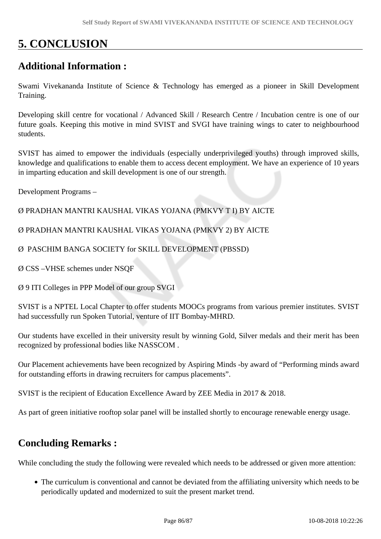# **5. CONCLUSION**

## **Additional Information :**

Swami Vivekananda Institute of Science & Technology has emerged as a pioneer in Skill Development Training.

Developing skill centre for vocational / Advanced Skill / Research Centre / Incubation centre is one of our future goals. Keeping this motive in mind SVIST and SVGI have training wings to cater to neighbourhood students.

SVIST has aimed to empower the individuals (especially underprivileged youths) through improved skills, knowledge and qualifications to enable them to access decent employment. We have an experience of 10 years in imparting education and skill development is one of our strength.

Development Programs –

Ø PRADHAN MANTRI KAUSHAL VIKAS YOJANA (PMKVY T I) BY AICTE

Ø PRADHAN MANTRI KAUSHAL VIKAS YOJANA (PMKVY 2) BY AICTE

Ø PASCHIM BANGA SOCIETY for SKILL DEVELOPMENT (PBSSD)

Ø CSS –VHSE schemes under NSQF

Ø 9 ITI Colleges in PPP Model of our group SVGI

SVIST is a NPTEL Local Chapter to offer students MOOCs programs from various premier institutes. SVIST had successfully run Spoken Tutorial, venture of IIT Bombay-MHRD.

Our students have excelled in their university result by winning Gold, Silver medals and their merit has been recognized by professional bodies like NASSCOM .

Our Placement achievements have been recognized by Aspiring Minds -by award of "Performing minds award for outstanding efforts in drawing recruiters for campus placements".

SVIST is the recipient of Education Excellence Award by ZEE Media in 2017 & 2018.

As part of green initiative rooftop solar panel will be installed shortly to encourage renewable energy usage.

### **Concluding Remarks :**

While concluding the study the following were revealed which needs to be addressed or given more attention:

The curriculum is conventional and cannot be deviated from the affiliating university which needs to be periodically updated and modernized to suit the present market trend.